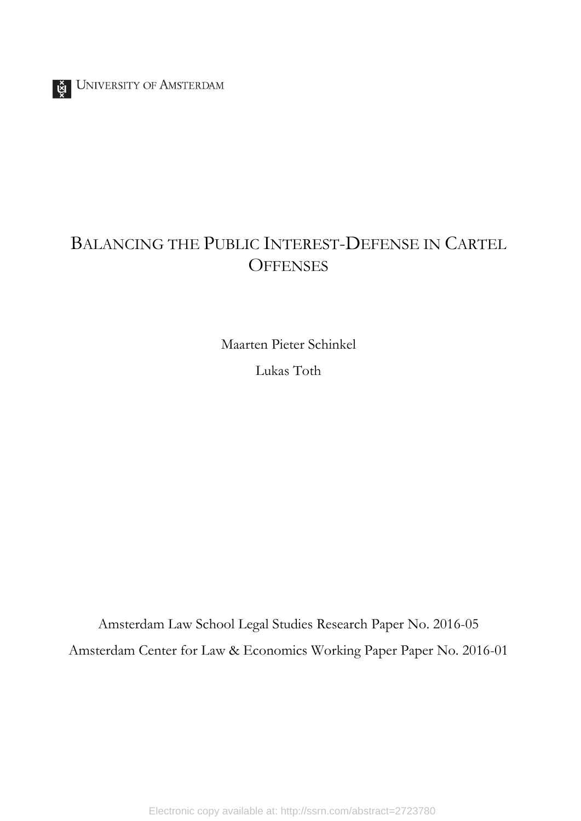# BALANCING THE PUBLIC INTEREST-DEFENSE IN CARTEL **OFFENSES**

Maarten Pieter Schinkel Lukas Toth

Amsterdam Law School Legal Studies Research Paper No. 2016-05 Amsterdam Center for Law & Economics Working Paper Paper No. 2016-01

Electronic copy available at: http://ssrn.com/abstract=2723780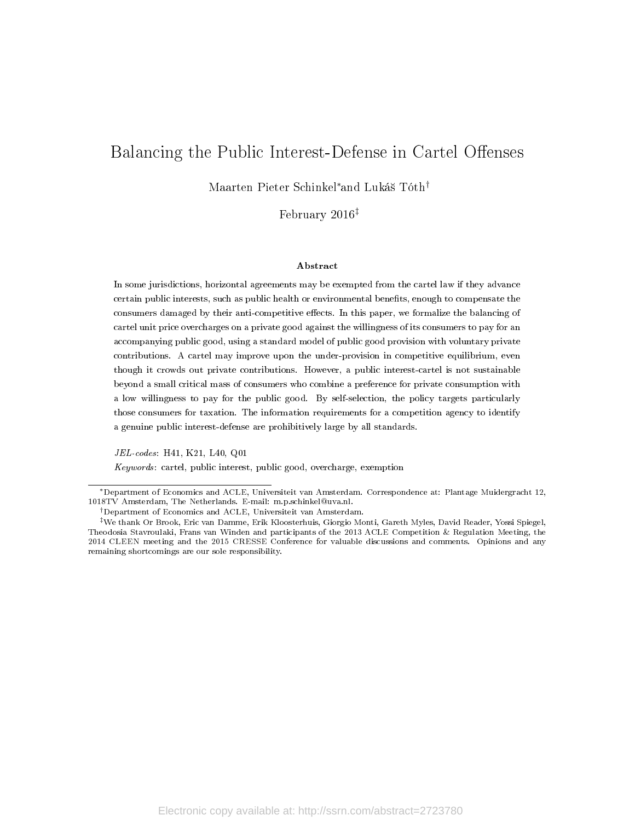## Balancing the Public Interest-Defense in Cartel Offenses

Maarten Pieter Schinkel<sup>∗</sup>and Lukás Tóth†

February 2016‡

#### Abstract

In some jurisdictions, horizontal agreements may be exempted from the cartel law if they advance certain public interests, such as public health or environmental benefits, enough to compensate the consumers damaged by their anti-competitive effects. In this paper, we formalize the balancing of cartel unit price overcharges on a private good against the willingness of its consumers to pay for an accompanying public good, using a standard model of public good provision with voluntary private contributions. A cartel may improve upon the under-provision in competitive equilibrium, even though it crowds out private contributions. However, a public interest-cartel is not sustainable beyond a small critical mass of consumers who combine a preference for private consumption with a low willingness to pay for the public good. By self-selection, the policy targets particularly those consumers for taxation. The information requirements for a competition agency to identify a genuine public interest-defense are prohibitively large by all standards.

JEL-codes: H41, K21, L40, Q01

Keywords: cartel, public interest, public good, overcharge, exemption

<sup>∗</sup>Department of Economics and ACLE, Universiteit van Amsterdam. Correspondence at: Plantage Muidergracht 12, 1018TV Amsterdam, The Netherlands. E-mail: m.p.schinkel@uva.nl.

<sup>†</sup>Department of Economics and ACLE, Universiteit van Amsterdam.

<sup>‡</sup>We thank Or Brook, Eric van Damme, Erik Kloosterhuis, Giorgio Monti, Gareth Myles, David Reader, Yossi Spiegel, Theodosia Stavroulaki, Frans van Winden and participants of the 2013 ACLE Competition & Regulation Meeting, the 2014 CLEEN meeting and the 2015 CRESSE Conference for valuable discussions and comments. Opinions and any remaining shortcomings are our sole responsibility.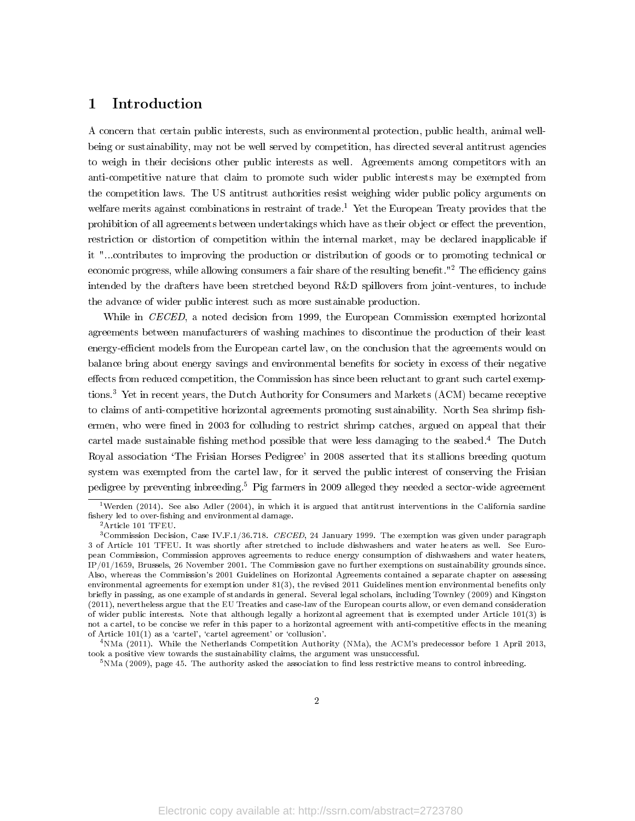### 1 Introduction

A concern that certain public interests, such as environmental protection, public health, animal wellbeing or sustainability, may not be well served by competition, has directed several antitrust agencies to weigh in their decisions other public interests as well. Agreements among competitors with an anti-competitive nature that claim to promote such wider public interests may be exempted from the competition laws. The US antitrust authorities resist weighing wider public policy arguments on welfare merits against combinations in restraint of trade.<sup>1</sup> Yet the European Treaty provides that the prohibition of all agreements between undertakings which have as their object or effect the prevention, restriction or distortion of competition within the internal market, may be declared inapplicable if it "...contributes to improving the production or distribution of goods or to promoting technical or economic progress, while allowing consumers a fair share of the resulting benefit."<sup>2</sup> The efficiency gains intended by the drafters have been stretched beyond R&D spillovers from joint-ventures, to include the advance of wider public interest such as more sustainable production.

While in CECED, a noted decision from 1999, the European Commission exempted horizontal agreements between manufacturers of washing machines to discontinue the production of their least energy-efficient models from the European cartel law, on the conclusion that the agreements would on balance bring about energy savings and environmental benets for society in excess of their negative effects from reduced competition, the Commission has since been reluctant to grant such cartel exemptions.<sup>3</sup> Yet in recent years, the Dutch Authority for Consumers and Markets (ACM) became receptive to claims of anti-competitive horizontal agreements promoting sustainability. North Sea shrimp fishermen, who were fined in 2003 for colluding to restrict shrimp catches, argued on appeal that their cartel made sustainable fishing method possible that were less damaging to the seabed.<sup>4</sup> The Dutch Royal association `The Frisian Horses Pedigree' in 2008 asserted that its stallions breeding quotum system was exempted from the cartel law, for it served the public interest of conserving the Frisian pedigree by preventing inbreeding.<sup>5</sup> Pig farmers in 2009 alleged they needed a sector-wide agreement

<sup>&</sup>lt;sup>1</sup>Werden (2014). See also Adler (2004), in which it is argued that antitrust interventions in the California sardine fishery led to over-fishing and environmental damage.

<sup>2</sup>Article 101 TFEU.

<sup>&</sup>lt;sup>3</sup>Commission Decision, Case IV.F.1/36.718. CECED, 24 January 1999. The exemption was given under paragraph 3 of Article 101 TFEU. It was shortly after stretched to include dishwashers and water heaters as well. See European Commission, Commission approves agreements to reduce energy consumption of dishwashers and water heaters, IP/01/1659, Brussels, 26 November 2001. The Commission gave no further exemptions on sustainability grounds since. Also, whereas the Commission's 2001 Guidelines on Horizontal Agreements contained a separate chapter on assessing environmental agreements for exemption under 81(3), the revised 2011 Guidelines mention environmental benets only briefly in passing, as one example of standards in general. Several legal scholars, including Townley (2009) and Kingston (2011), nevertheless argue that the EU Treaties and case-law of the European courts allow, or even demand consideration of wider public interests. Note that although legally a horizontal agreement that is exempted under Article 101(3) is not a cartel, to be concise we refer in this paper to a horizontal agreement with anti-competitive effects in the meaning of Article  $101(1)$  as a 'cartel', 'cartel agreement' or 'collusion'.

<sup>4</sup>NMa (2011). While the Netherlands Competition Authority (NMa), the ACM's predecessor before 1 April 2013, took a positive view towards the sustainability claims, the argument was unsuccessful.

 $5$ NMa (2009), page 45. The authority asked the association to find less restrictive means to control inbreeding.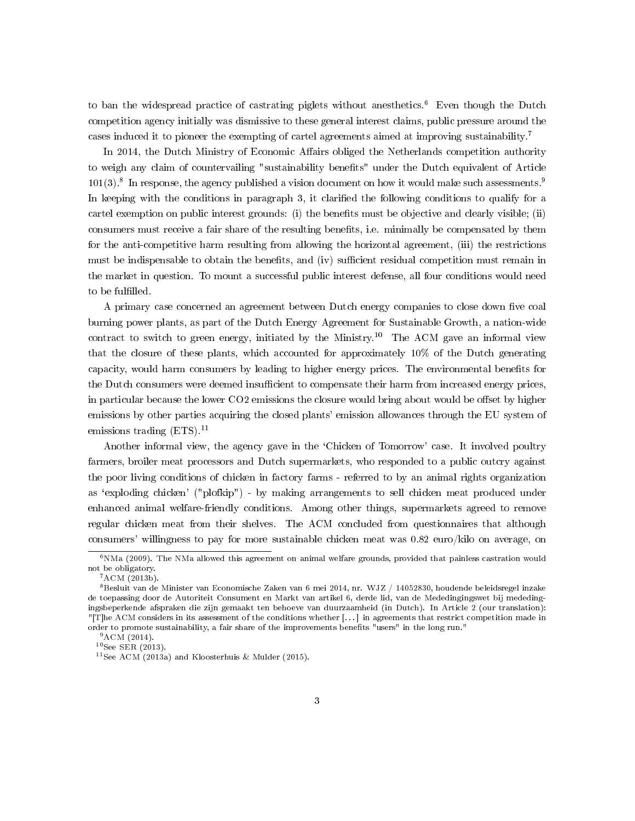to ban the widespread practice of castrating piglets without anesthetics.<sup>6</sup> Even though the Dutch competition agency initially was dismissive to these general interest claims, public pressure around the cases induced it to pioneer the exempting of cartel agreements aimed at improving sustainability.<sup>7</sup>

In 2014, the Dutch Ministry of Economic Affairs obliged the Netherlands competition authority to weigh any claim of countervailing "sustainability benets" under the Dutch equivalent of Article  $101(3)$ .<sup>8</sup> In response, the agency published a vision document on how it would make such assessments.<sup>9</sup> In keeping with the conditions in paragraph 3, it claried the following conditions to qualify for a cartel exemption on public interest grounds: (i) the benefits must be objective and clearly visible; (ii) consumers must receive a fair share of the resulting benefits, i.e. minimally be compensated by them for the anti-competitive harm resulting from allowing the horizontal agreement, (iii) the restrictions must be indispensable to obtain the benefits, and (iv) sufficient residual competition must remain in the market in question. To mount a successful public interest defense, all four conditions would need to be fulfilled.  $\,$ 

A primary case concerned an agreement between Dutch energy companies to close down five coal burning power plants, as part of the Dutch Energy Agreement for Sustainable Growth, a nation-wide contract to switch to green energy, initiated by the Ministry.<sup>10</sup> The ACM gave an informal view that the closure of these plants, which accounted for approximately 10% of the Dutch generating capacity, would harm consumers by leading to higher energy prices. The environmental benets for the Dutch consumers were deemed insufficient to compensate their harm from increased energy prices, in particular because the lower CO2 emissions the closure would bring about would be offset by higher emissions by other parties acquiring the closed plants' emission allowances through the EU system of emissions trading  $(ETS).<sup>11</sup>$ 

Another informal view, the agency gave in the `Chicken of Tomorrow' case. It involved poultry farmers, broiler meat processors and Dutch supermarkets, who responded to a public outcry against the poor living conditions of chicken in factory farms - referred to by an animal rights organization as `exploding chicken' ("plofkip") - by making arrangements to sell chicken meat produced under enhanced animal welfare-friendly conditions. Among other things, supermarkets agreed to remove regular chicken meat from their shelves. The ACM concluded from questionnaires that although consumers' willingness to pay for more sustainable chicken meat was 0.82 euro/kilo on average, on

 $6NMa$  (2009). The NMa allowed this agreement on animal welfare grounds, provided that painless castration would not be obligatory.

 $7 ACM (2013b)$ .

 $^8$ Besluit van de Minister van Economische Zaken van 6 mei 2014, nr. WJZ / 14052830, houdende beleidsregel inzake de toepassing door de Autoriteit Consument en Markt van artikel 6, derde lid, van de Mededingingswet bij mededingingsbeperkende afspraken die zijn gemaakt ten behoeve van duurzaamheid (in Dutch). In Article 2 (our translation): "[T]he ACM considers in its assessment of the conditions whether [. . . ] in agreements that restrict competition made in order to promote sustainability, a fair share of the improvements benets "users" in the long run."

 $9^9$ ACM (2014).

<sup>10</sup>See SER (2013).

<sup>&</sup>lt;sup>11</sup>See ACM (2013a) and Kloosterhuis & Mulder (2015).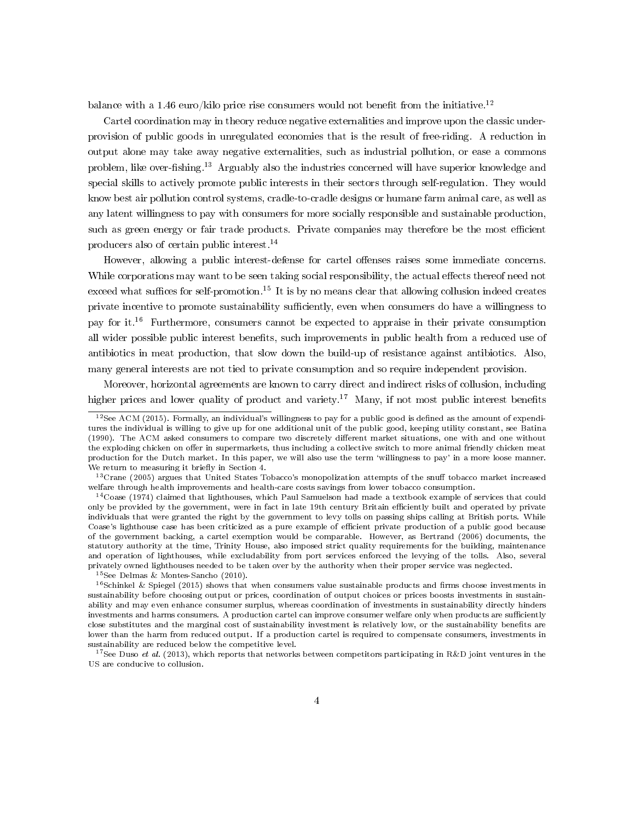balance with a 1.46 euro/kilo price rise consumers would not benefit from the initiative.<sup>12</sup>

Cartel coordination may in theory reduce negative externalities and improve upon the classic underprovision of public goods in unregulated economies that is the result of free-riding. A reduction in output alone may take away negative externalities, such as industrial pollution, or ease a commons problem, like over-fishing.<sup>13</sup> Arguably also the industries concerned will have superior knowledge and special skills to actively promote public interests in their sectors through self-regulation. They would know best air pollution control systems, cradle-to-cradle designs or humane farm animal care, as well as any latent willingness to pay with consumers for more socially responsible and sustainable production, such as green energy or fair trade products. Private companies may therefore be the most efficient producers also of certain public interest.<sup>14</sup>

However, allowing a public interest-defense for cartel offenses raises some immediate concerns. While corporations may want to be seen taking social responsibility, the actual effects thereof need not exceed what suffices for self-promotion.<sup>15</sup> It is by no means clear that allowing collusion indeed creates private incentive to promote sustainability sufficiently, even when consumers do have a willingness to pay for it.<sup>16</sup> Furthermore, consumers cannot be expected to appraise in their private consumption all wider possible public interest benefits, such improvements in public health from a reduced use of antibiotics in meat production, that slow down the build-up of resistance against antibiotics. Also, many general interests are not tied to private consumption and so require independent provision.

Moreover, horizontal agreements are known to carry direct and indirect risks of collusion, including higher prices and lower quality of product and variety.<sup>17</sup> Many, if not most public interest benefits

<sup>15</sup>See Delmas & Montes-Sancho (2010).

 $12$ See ACM (2015). Formally, an individual's willingness to pay for a public good is defined as the amount of expenditures the individual is willing to give up for one additional unit of the public good, keeping utility constant, see Batina (1990). The ACM asked consumers to compare two discretely different market situations, one with and one without the exploding chicken on offer in supermarkets, thus including a collective switch to more animal friendly chicken meat production for the Dutch market. In this paper, we will also use the term 'willingness to pay' in a more loose manner. We return to measuring it briefly in Section 4.

<sup>&</sup>lt;sup>13</sup>Crane (2005) argues that United States Tobacco's monopolization attempts of the snuff tobacco market increased welfare through health improvements and health-care costs savings from lower tobacco consumption.

<sup>14</sup>Coase (1974) claimed that lighthouses, which Paul Samuelson had made a textbook example of services that could only be provided by the government, were in fact in late 19th century Britain eciently built and operated by private individuals that were granted the right by the government to levy tolls on passing ships calling at British ports. While Coase's lighthouse case has been criticized as a pure example of efficient private production of a public good because of the government backing, a cartel exemption would be comparable. However, as Bertrand (2006) documents, the statutory authority at the time, Trinity House, also imposed strict quality requirements for the building, maintenance and operation of lighthouses, while excludability from port services enforced the levying of the tolls. Also, several privately owned lighthouses needed to be taken over by the authority when their proper service was neglected.

 $16$ Schinkel & Spiegel (2015) shows that when consumers value sustainable products and firms choose investments in sustainability before choosing output or prices, coordination of output choices or prices boosts investments in sustainability and may even enhance consumer surplus, whereas coordination of investments in sustainability directly hinders investments and harms consumers. A production cartel can improve consumer welfare only when products are sufficiently close substitutes and the marginal cost of sustainability investment is relatively low, or the sustainability benets are lower than the harm from reduced output. If a production cartel is required to compensate consumers, investments in sustainability are reduced below the competitive level.

<sup>&</sup>lt;sup>17</sup>See Duso *et al.* (2013), which reports that networks between competitors participating in R&D joint ventures in the US are conducive to collusion.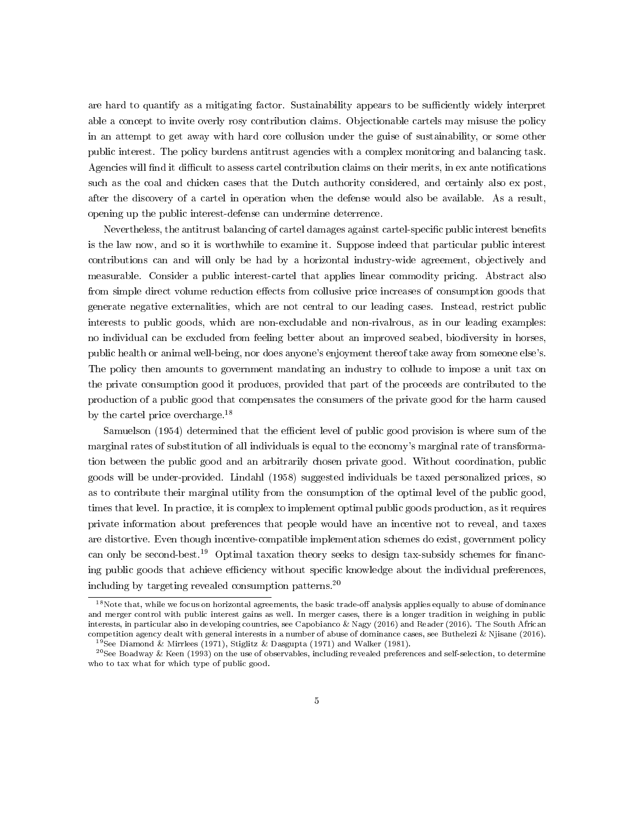are hard to quantify as a mitigating factor. Sustainability appears to be sufficiently widely interpret able a concept to invite overly rosy contribution claims. Objectionable cartels may misuse the policy in an attempt to get away with hard core collusion under the guise of sustainability, or some other public interest. The policy burdens antitrust agencies with a complex monitoring and balancing task. Agencies will find it difficult to assess cartel contribution claims on their merits, in ex ante notifications such as the coal and chicken cases that the Dutch authority considered, and certainly also ex post, after the discovery of a cartel in operation when the defense would also be available. As a result, opening up the public interest-defense can undermine deterrence.

Nevertheless, the antitrust balancing of cartel damages against cartel-specific public interest benefits is the law now, and so it is worthwhile to examine it. Suppose indeed that particular public interest contributions can and will only be had by a horizontal industry-wide agreement, objectively and measurable. Consider a public interest-cartel that applies linear commodity pricing. Abstract also from simple direct volume reduction effects from collusive price increases of consumption goods that generate negative externalities, which are not central to our leading cases. Instead, restrict public interests to public goods, which are non-excludable and non-rivalrous, as in our leading examples: no individual can be excluded from feeling better about an improved seabed, biodiversity in horses, public health or animal well-being, nor does anyone's enjoyment thereof take away from someone else's. The policy then amounts to government mandating an industry to collude to impose a unit tax on the private consumption good it produces, provided that part of the proceeds are contributed to the production of a public good that compensates the consumers of the private good for the harm caused by the cartel price overcharge.<sup>18</sup>

Samuelson (1954) determined that the efficient level of public good provision is where sum of the marginal rates of substitution of all individuals is equal to the economy's marginal rate of transformation between the public good and an arbitrarily chosen private good. Without coordination, public goods will be under-provided. Lindahl (1958) suggested individuals be taxed personalized prices, so as to contribute their marginal utility from the consumption of the optimal level of the public good, times that level. In practice, it is complex to implement optimal public goods production, as it requires private information about preferences that people would have an incentive not to reveal, and taxes are distortive. Even though incentive-compatible implementation schemes do exist, government policy can only be second-best.<sup>19</sup> Optimal taxation theory seeks to design tax-subsidy schemes for financing public goods that achieve efficiency without specific knowledge about the individual preferences, including by targeting revealed consumption patterns.<sup>20</sup>

 $18$ Note that, while we focus on horizontal agreements, the basic trade-off analysis applies equally to abuse of dominance and merger control with public interest gains as well. In merger cases, there is a longer tradition in weighing in public interests, in particular also in developing countries, see Capobianco & Nagy (2016) and Reader (2016). The South African competition agency dealt with general interests in a number of abuse of dominance cases, see Buthelezi & Njisane (2016). <sup>19</sup>See Diamond & Mirrlees (1971), Stiglitz & Dasgupta (1971) and Walker (1981).

 $^{20}$ See Boadway & Keen (1993) on the use of observables, including revealed preferences and self-selection, to determine who to tax what for which type of public good.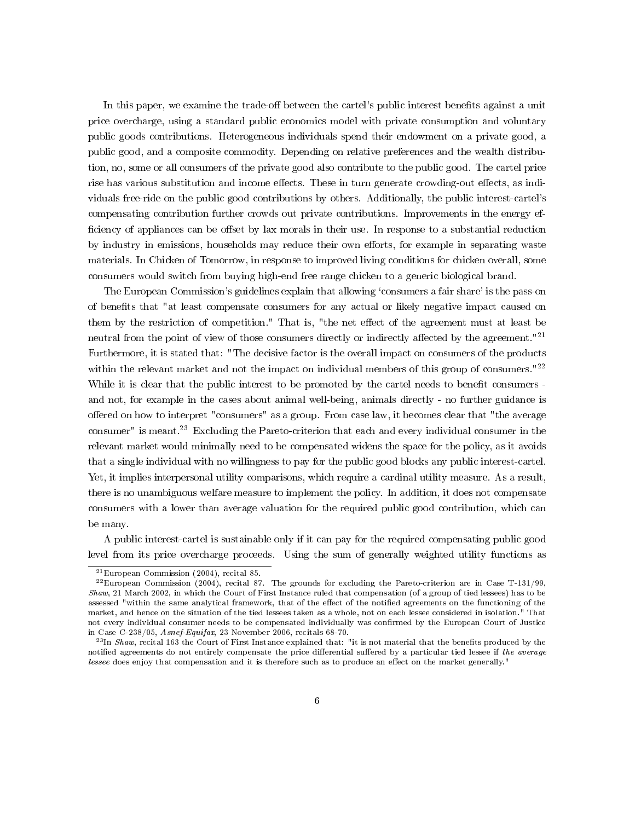In this paper, we examine the trade-off between the cartel's public interest benefits against a unit price overcharge, using a standard public economics model with private consumption and voluntary public goods contributions. Heterogeneous individuals spend their endowment on a private good, a public good, and a composite commodity. Depending on relative preferences and the wealth distribution, no, some or all consumers of the private good also contribute to the public good. The cartel price rise has various substitution and income effects. These in turn generate crowding-out effects, as individuals free-ride on the public good contributions by others. Additionally, the public interest-cartel's compensating contribution further crowds out private contributions. Improvements in the energy ef ficiency of appliances can be offset by lax morals in their use. In response to a substantial reduction by industry in emissions, households may reduce their own efforts, for example in separating waste materials. In Chicken of Tomorrow, in response to improved living conditions for chicken overall, some consumers would switch from buying high-end free range chicken to a generic biological brand.

The European Commission's guidelines explain that allowing 'consumers a fair share' is the pass-on of benefits that "at least compensate consumers for any actual or likely negative impact caused on them by the restriction of competition." That is, "the net effect of the agreement must at least be neutral from the point of view of those consumers directly or indirectly affected by the agreement."<sup>21</sup> Furthermore, it is stated that: "The decisive factor is the overall impact on consumers of the products within the relevant market and not the impact on individual members of this group of consumers."<sup>22</sup> While it is clear that the public interest to be promoted by the cartel needs to benefit consumers and not, for example in the cases about animal well-being, animals directly - no further guidance is offered on how to interpret "consumers" as a group. From case law, it becomes clear that "the average consumer" is meant.<sup>23</sup> Excluding the Pareto-criterion that each and every individual consumer in the relevant market would minimally need to be compensated widens the space for the policy, as it avoids that a single individual with no willingness to pay for the public good blocks any public interest-cartel. Yet, it implies interpersonal utility comparisons, which require a cardinal utility measure. As a result, there is no unambiguous welfare measure to implement the policy. In addition, it does not compensate consumers with a lower than average valuation for the required public good contribution, which can be many.

A public interest-cartel is sustainable only if it can pay for the required compensating public good level from its price overcharge proceeds. Using the sum of generally weighted utility functions as

<sup>21</sup>European Commission (2004), recital 85.

 $^{22}$ European Commission (2004), recital 87. The grounds for excluding the Pareto-criterion are in Case T-131/99, Shaw, 21 March 2002, in which the Court of First Instance ruled that compensation (of a group of tied lessees) has to be assessed "within the same analytical framework, that of the effect of the notified agreements on the functioning of the market, and hence on the situation of the tied lessees taken as a whole, not on each lessee considered in isolation." That not every individual consumer needs to be compensated individually was confirmed by the European Court of Justice in Case C-238/05, Asnef-Equifax, 23 November 2006, recitals 68-70.

 $^{23}$ In Shaw, recital 163 the Court of First Instance explained that: "it is not material that the benefits produced by the notified agreements do not entirely compensate the price differential suffered by a particular tied lessee if the average lessee does enjoy that compensation and it is therefore such as to produce an effect on the market generally."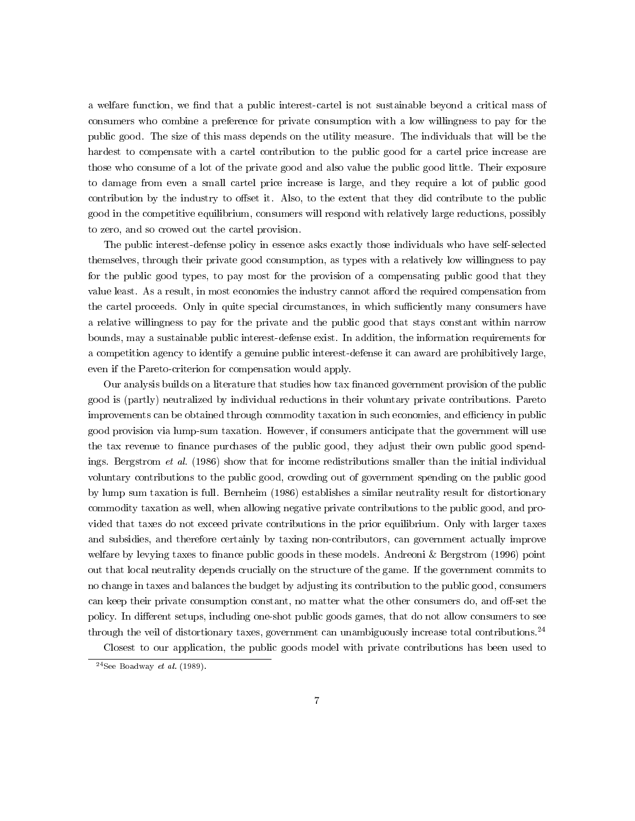a welfare function, we find that a public interest-cartel is not sustainable beyond a critical mass of consumers who combine a preference for private consumption with a low willingness to pay for the public good. The size of this mass depends on the utility measure. The individuals that will be the hardest to compensate with a cartel contribution to the public good for a cartel price increase are those who consume of a lot of the private good and also value the public good little. Their exposure to damage from even a small cartel price increase is large, and they require a lot of public good contribution by the industry to offset it. Also, to the extent that they did contribute to the public good in the competitive equilibrium, consumers will respond with relatively large reductions, possibly to zero, and so crowed out the cartel provision.

The public interest-defense policy in essence asks exactly those individuals who have self-selected themselves, through their private good consumption, as types with a relatively low willingness to pay for the public good types, to pay most for the provision of a compensating public good that they value least. As a result, in most economies the industry cannot afford the required compensation from the cartel proceeds. Only in quite special circumstances, in which sufficiently many consumers have a relative willingness to pay for the private and the public good that stays constant within narrow bounds, may a sustainable public interest-defense exist. In addition, the information requirements for a competition agency to identify a genuine public interest-defense it can award are prohibitively large, even if the Pareto-criterion for compensation would apply.

Our analysis builds on a literature that studies how tax financed government provision of the public good is (partly) neutralized by individual reductions in their voluntary private contributions. Pareto improvements can be obtained through commodity taxation in such economies, and efficiency in public good provision via lump-sum taxation. However, if consumers anticipate that the government will use the tax revenue to finance purchases of the public good, they adjust their own public good spendings. Bergstrom et al. (1986) show that for income redistributions smaller than the initial individual voluntary contributions to the public good, crowding out of government spending on the public good by lump sum taxation is full. Bernheim (1986) establishes a similar neutrality result for distortionary commodity taxation as well, when allowing negative private contributions to the public good, and provided that taxes do not exceed private contributions in the prior equilibrium. Only with larger taxes and subsidies, and therefore certainly by taxing non-contributors, can government actually improve welfare by levying taxes to finance public goods in these models. Andreoni  $&$  Bergstrom (1996) point out that local neutrality depends crucially on the structure of the game. If the government commits to no change in taxes and balances the budget by adjusting its contribution to the public good, consumers can keep their private consumption constant, no matter what the other consumers do, and off-set the policy. In different setups, including one-shot public goods games, that do not allow consumers to see through the veil of distortionary taxes, government can unambiguously increase total contributions.<sup>24</sup>

Closest to our application, the public goods model with private contributions has been used to

 $^{24}$ See Boadway et al. (1989).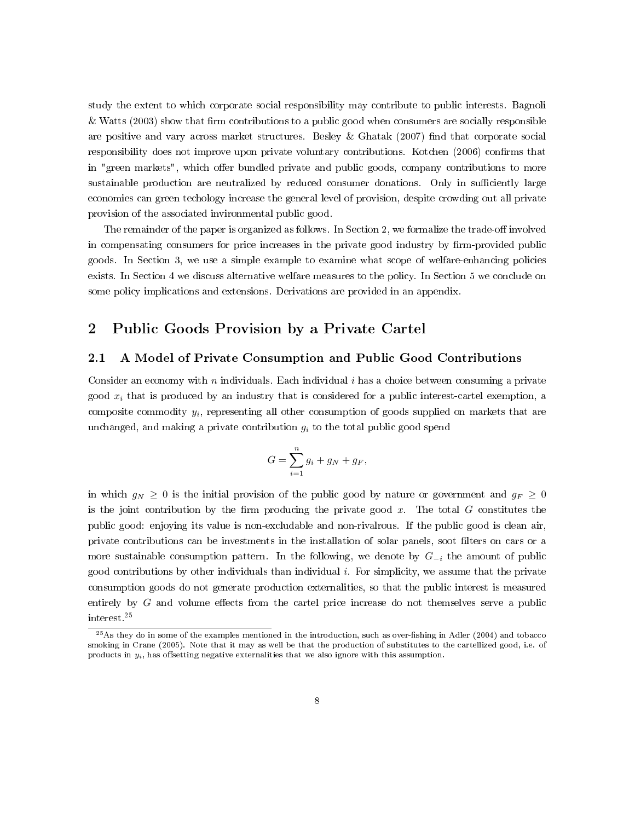study the extent to which corporate social responsibility may contribute to public interests. Bagnoli & Watts (2003) show that firm contributions to a public good when consumers are socially responsible are positive and vary across market structures. Besley & Ghatak (2007) find that corporate social responsibility does not improve upon private voluntary contributions. Kotchen (2006) confirms that in "green markets", which offer bundled private and public goods, company contributions to more sustainable production are neutralized by reduced consumer donations. Only in sufficiently large economies can green techology increase the general level of provision, despite crowding out all private provision of the associated invironmental public good.

The remainder of the paper is organized as follows. In Section 2, we formalize the trade-off involved in compensating consumers for price increases in the private good industry by firm-provided public goods. In Section 3, we use a simple example to examine what scope of welfare-enhancing policies exists. In Section 4 we discuss alternative welfare measures to the policy. In Section 5 we conclude on some policy implications and extensions. Derivations are provided in an appendix.

### 2 Public Goods Provision by a Private Cartel

#### 2.1 A Model of Private Consumption and Public Good Contributions

Consider an economy with  $n$  individuals. Each individual  $i$  has a choice between consuming a private good  $x_i$  that is produced by an industry that is considered for a public interest-cartel exemption, a composite commodity  $y_i$ , representing all other consumption of goods supplied on markets that are unchanged, and making a private contribution  $g_i$  to the total public good spend

$$
G = \sum_{i=1}^{n} g_i + g_N + g_F,
$$

in which  $g_N \geq 0$  is the initial provision of the public good by nature or government and  $g_F \geq 0$ is the joint contribution by the firm producing the private good  $x$ . The total  $G$  constitutes the public good: enjoying its value is non-excludable and non-rivalrous. If the public good is clean air, private contributions can be investments in the installation of solar panels, soot filters on cars or a more sustainable consumption pattern. In the following, we denote by  $G_{-i}$  the amount of public good contributions by other individuals than individual  $i$ . For simplicity, we assume that the private consumption goods do not generate production externalities, so that the public interest is measured entirely by  $G$  and volume effects from the cartel price increase do not themselves serve a public interest.<sup>25</sup>

 $^{25}$ As they do in some of the examples mentioned in the introduction, such as over-fishing in Adler (2004) and tobacco smoking in Crane (2005). Note that it may as well be that the production of substitutes to the cartellized good, i.e. of products in  $y_i$ , has offsetting negative externalities that we also ignore with this assumption.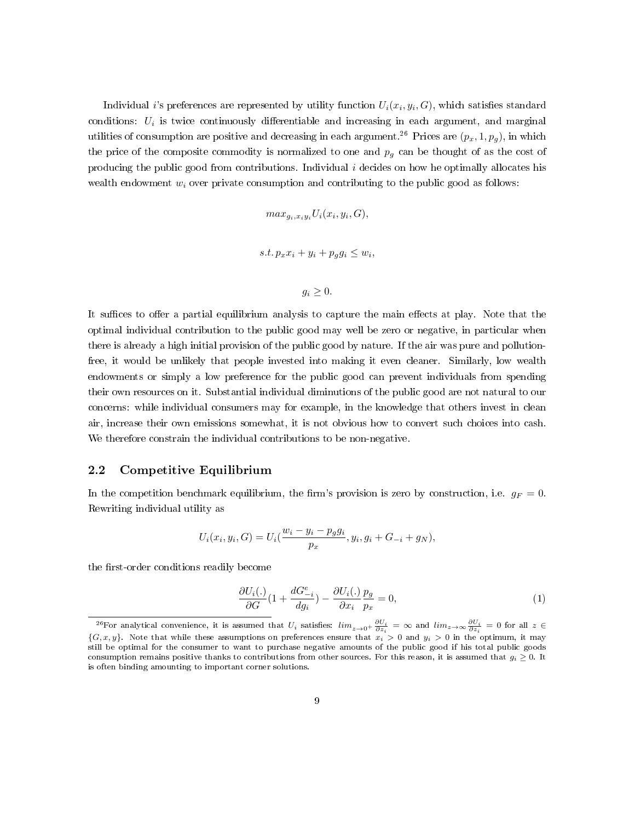Individual i's preferences are represented by utility function  $U_i(x_i, y_i, G)$ , which satisfies standard conditions:  $U_i$  is twice continuously differentiable and increasing in each argument, and marginal utilities of consumption are positive and decreasing in each argument.<sup>26</sup> Prices are  $(p_x, 1, p_y)$ , in which the price of the composite commodity is normalized to one and  $p<sub>g</sub>$  can be thought of as the cost of producing the public good from contributions. Individual  $i$  decides on how he optimally allocates his wealth endowment  $w_i$  over private consumption and contributing to the public good as follows:

$$
max_{g_i, x_i y_i} U_i(x_i, y_i, G),
$$
  
s.t.  $p_x x_i + y_i + p_g g_i \le w_i$ ,

$$
g_i\geq 0.
$$

It suffices to offer a partial equilibrium analysis to capture the main effects at play. Note that the optimal individual contribution to the public good may well be zero or negative, in particular when there is already a high initial provision of the public good by nature. If the air was pure and pollutionfree, it would be unlikely that people invested into making it even cleaner. Similarly, low wealth endowments or simply a low preference for the public good can prevent individuals from spending their own resources on it. Substantial individual diminutions of the public good are not natural to our concerns: while individual consumers may for example, in the knowledge that others invest in clean air, increase their own emissions somewhat, it is not obvious how to convert such choices into cash. We therefore constrain the individual contributions to be non-negative.

### 2.2 Competitive Equilibrium

In the competition benchmark equilibrium, the firm's provision is zero by construction, i.e.  $g_F = 0$ . Rewriting individual utility as

$$
U_i(x_i, y_i, G) = U_i(\frac{w_i - y_i - p_g g_i}{p_x}, y_i, g_i + G_{-i} + g_N),
$$

the first-order conditions readily become

$$
\frac{\partial U_i(.)}{\partial G}(1 + \frac{dG_{-i}^e}{dg_i}) - \frac{\partial U_i(.)}{\partial x_i} \frac{p_g}{p_x} = 0,
$$
\n(1)

<sup>&</sup>lt;sup>26</sup>For analytical convenience, it is assumed that  $U_i$  satisfies:  $\lim_{z\to 0^+} \frac{\partial U_i}{\partial z_i} = \infty$  and  $\lim_{z\to \infty} \frac{\partial U_i}{\partial z_i} = 0$  for all  $z \in$  $\{G, x, y\}$ . Note that while these assumptions on preferences ensure that  $x_i > 0$  and  $y_i > 0$  in the optimum, it may still be optimal for the consumer to want to purchase negative amounts of the public good if his total public goods consumption remains positive thanks to contributions from other sources. For this reason, it is assumed that  $g_i \geq 0$ . It is often binding amounting to important corner solutions.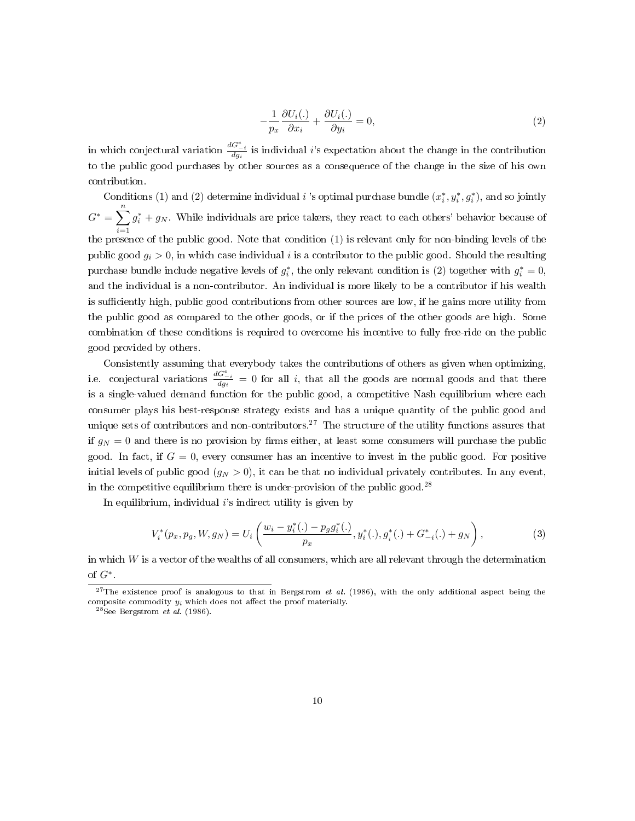$$
-\frac{1}{p_x}\frac{\partial U_i(.)}{\partial x_i} + \frac{\partial U_i(.)}{\partial y_i} = 0,
$$
\n(2)

in which conjectural variation  $\frac{dG_{-i}^e}{dg_i}$  is individual i's expectation about the change in the contribution to the public good purchases by other sources as a consequence of the change in the size of his own contribution.

Conditions (1) and (2) determine individual i 's optimal purchase bundle  $(x_i^*, y_i^*, g_i^*)$ , and so jointly  $G^* = \sum_{n=1}^{n}$  $i=1$  $g_i^* + g_N$ . While individuals are price takers, they react to each others' behavior because of the presence of the public good. Note that condition (1) is relevant only for non-binding levels of the public good  $g_i > 0$ , in which case individual i is a contributor to the public good. Should the resulting purchase bundle include negative levels of  $g_i^*$ , the only relevant condition is (2) together with  $g_i^* = 0$ , and the individual is a non-contributor. An individual is more likely to be a contributor if his wealth is sufficiently high, public good contributions from other sources are low, if he gains more utility from the public good as compared to the other goods, or if the prices of the other goods are high. Some combination of these conditions is required to overcome his incentive to fully free-ride on the public good provided by others.

Consistently assuming that everybody takes the contributions of others as given when optimizing, i.e. conjectural variations  $\frac{dG_{-i}^e}{dg_i} = 0$  for all i, that all the goods are normal goods and that there is a single-valued demand function for the public good, a competitive Nash equilibrium where each consumer plays his best-response strategy exists and has a unique quantity of the public good and unique sets of contributors and non-contributors.<sup>27</sup> The structure of the utility functions assures that if  $g_N = 0$  and there is no provision by firms either, at least some consumers will purchase the public good. In fact, if  $G = 0$ , every consumer has an incentive to invest in the public good. For positive initial levels of public good  $(q_N > 0)$ , it can be that no individual privately contributes. In any event, in the competitive equilibrium there is under-provision of the public good.<sup>28</sup>

In equilibrium, individual  $i$ 's indirect utility is given by

$$
V_i^*(p_x, p_y, W, g_N) = U_i\left(\frac{w_i - y_i^*(.) - p_g g_i^*(.)}{p_x}, y_i^*(.) , g_i^*(.) + G_{-i}^*(.) + g_N\right),\tag{3}
$$

in which  $W$  is a vector of the wealths of all consumers, which are all relevant through the determination of  $G^*$ .

<sup>&</sup>lt;sup>27</sup>The existence proof is analogous to that in Bergstrom et al. (1986), with the only additional aspect being the composite commodity  $y_i$  which does not affect the proof materially.

 $^{28}$ See Bergstrom et al. (1986).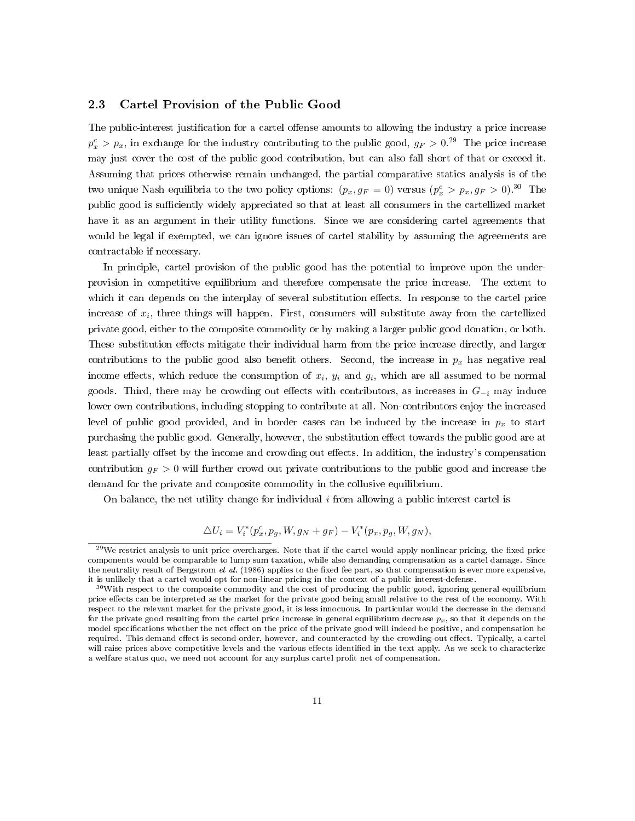#### 2.3 Cartel Provision of the Public Good

The public-interest justification for a cartel offense amounts to allowing the industry a price increase  $p_x^c > p_x$ , in exchange for the industry contributing to the public good,  $g_F > 0.29$  The price increase may just cover the cost of the public good contribution, but can also fall short of that or exceed it. Assuming that prices otherwise remain unchanged, the partial comparative statics analysis is of the two unique Nash equilibria to the two policy options:  $(p_x, g_F = 0)$  versus  $(p_x^c > p_x, g_F > 0).$ <sup>30</sup> The public good is sufficiently widely appreciated so that at least all consumers in the cartellized market have it as an argument in their utility functions. Since we are considering cartel agreements that would be legal if exempted, we can ignore issues of cartel stability by assuming the agreements are contractable if necessary.

In principle, cartel provision of the public good has the potential to improve upon the underprovision in competitive equilibrium and therefore compensate the price increase. The extent to which it can depends on the interplay of several substitution effects. In response to the cartel price increase of  $x_i$ , three things will happen. First, consumers will substitute away from the cartellized private good, either to the composite commodity or by making a larger public good donation, or both. These substitution effects mitigate their individual harm from the price increase directly, and larger contributions to the public good also benefit others. Second, the increase in  $p_x$  has negative real income effects, which reduce the consumption of  $x_i$ ,  $y_i$  and  $g_i$ , which are all assumed to be normal goods. Third, there may be crowding out effects with contributors, as increases in  $G_{-i}$  may induce lower own contributions, including stopping to contribute at all. Non-contributors enjoy the increased level of public good provided, and in border cases can be induced by the increase in  $p_x$  to start purchasing the public good. Generally, however, the substitution effect towards the public good are at least partially offset by the income and crowding out effects. In addition, the industry's compensation contribution  $g_F > 0$  will further crowd out private contributions to the public good and increase the demand for the private and composite commodity in the collusive equilibrium.

On balance, the net utility change for individual  $i$  from allowing a public-interest cartel is

$$
\triangle U_i = V_i^*(p_x^c, p_g, W, g_N + g_F) - V_i^*(p_x, p_g, W, g_N),
$$

 $^{29}$ We restrict analysis to unit price overcharges. Note that if the cartel would apply nonlinear pricing, the fixed price components would be comparable to lump sum taxation, while also demanding compensation as a cartel damage. Since the neutrality result of Bergstrom et al. (1986) applies to the fixed fee part, so that compensation is ever more expensive, it is unlikely that a cartel would opt for non-linear pricing in the context of a public interest-defense.

<sup>30</sup>With respect to the composite commodity and the cost of producing the public good, ignoring general equilibrium price effects can be interpreted as the market for the private good being small relative to the rest of the economy. With respect to the relevant market for the private good, it is less innocuous. In particular would the decrease in the demand for the private good resulting from the cartel price increase in general equilibrium decrease  $p_x$ , so that it depends on the model specifications whether the net effect on the price of the private good will indeed be positive, and compensation be required. This demand effect is second-order, however, and counteracted by the crowding-out effect. Typically, a cartel will raise prices above competitive levels and the various effects identified in the text apply. As we seek to characterize a welfare status quo, we need not account for any surplus cartel profit net of compensation.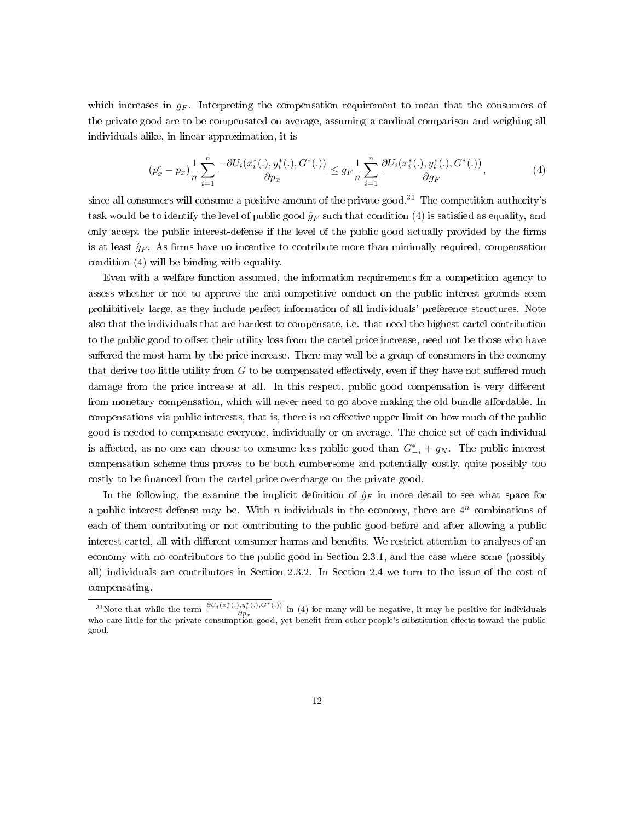which increases in  $q_F$ . Interpreting the compensation requirement to mean that the consumers of the private good are to be compensated on average, assuming a cardinal comparison and weighing all individuals alike, in linear approximation, it is

$$
(p_x^c - p_x) \frac{1}{n} \sum_{i=1}^n \frac{-\partial U_i(x_i^*(.), y_i^*(.), G^*(.))}{\partial p_x} \le g_F \frac{1}{n} \sum_{i=1}^n \frac{\partial U_i(x_i^*(.), y_i^*(.), G^*(.))}{\partial g_F},
$$
(4)

since all consumers will consume a positive amount of the private good.<sup>31</sup> The competition authority's task would be to identify the level of public good  $\hat{g}_F$  such that condition (4) is satisfied as equality, and only accept the public interest-defense if the level of the public good actually provided by the firms is at least  $\hat{g}_F$ . As firms have no incentive to contribute more than minimally required, compensation condition (4) will be binding with equality.

Even with a welfare function assumed, the information requirements for a competition agency to assess whether or not to approve the anti-competitive conduct on the public interest grounds seem prohibitively large, as they include perfect information of all individuals' preference structures. Note also that the individuals that are hardest to compensate, i.e. that need the highest cartel contribution to the public good to offset their utility loss from the cartel price increase, need not be those who have suffered the most harm by the price increase. There may well be a group of consumers in the economy that derive too little utility from  $G$  to be compensated effectively, even if they have not suffered much damage from the price increase at all. In this respect, public good compensation is very different from monetary compensation, which will never need to go above making the old bundle affordable. In compensations via public interests, that is, there is no effective upper limit on how much of the public good is needed to compensate everyone, individually or on average. The choice set of each individual is affected, as no one can choose to consume less public good than  $G_{-i}^* + g_N$ . The public interest compensation scheme thus proves to be both cumbersome and potentially costly, quite possibly too costly to be financed from the cartel price overcharge on the private good.

In the following, the examine the implicit definition of  $\hat{g}_F$  in more detail to see what space for a public interest-defense may be. With  $n$  individuals in the economy, there are  $4^n$  combinations of each of them contributing or not contributing to the public good before and after allowing a public interest-cartel, all with different consumer harms and benefits. We restrict attention to analyses of an economy with no contributors to the public good in Section 2.3.1, and the case where some (possibly all) individuals are contributors in Section 2.3.2. In Section 2.4 we turn to the issue of the cost of compensating.

<sup>&</sup>lt;sup>31</sup>Note that while the term  $\frac{\partial U_i(x_i^*(.),y_i^*(.),G^*(.))}{\partial x_i}$  $\frac{\partial p_{x}}{\partial p_{x}}$  (.*.*),  $\sigma$  (.*..)* in (4) for many will be negative, it may be positive for individuals who care little for the private consumption good, yet benefit from other people's substitution effects toward the public good.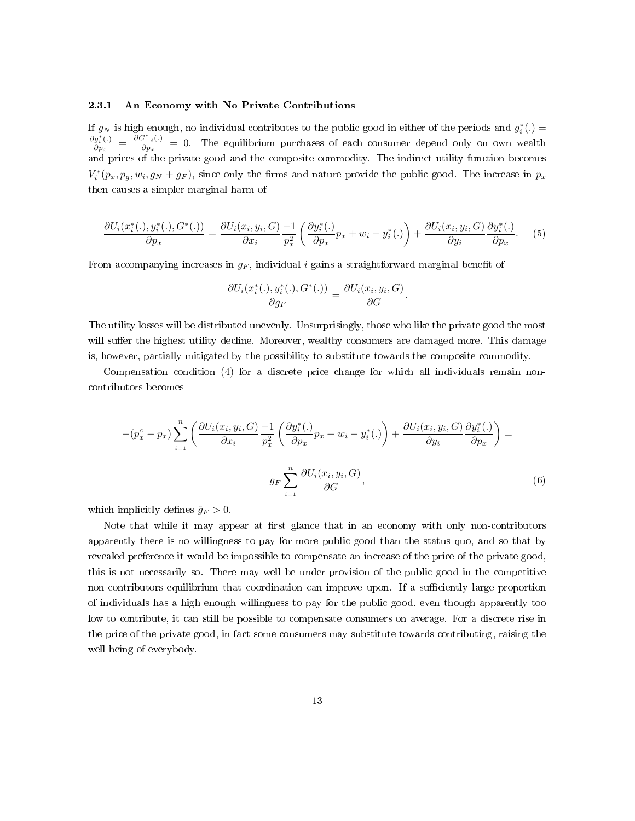#### 2.3.1 An Economy with No Private Contributions

If  $g_N$  is high enough, no individual contributes to the public good in either of the periods and  $g_i^*(.)$  =  $\partial g_i^*(.)$  $\frac{\partial g_i^*(.)}{\partial p_x} = \frac{\overline{\partial} G_{-i}^*(.)}{\partial p_x}$  $\frac{\partial \mathcal{F}_{-i}(y)}{\partial p_x} = 0$ . The equilibrium purchases of each consumer depend only on own wealth and prices of the private good and the composite commodity. The indirect utility function becomes  $V_i^*(p_x, p_y, w_i, g_N + g_F)$ , since only the firms and nature provide the public good. The increase in  $p_x$ then causes a simpler marginal harm of

$$
\frac{\partial U_i(x_i^*(.), y_i^*(.), G^*(.))}{\partial p_x} = \frac{\partial U_i(x_i, y_i, G)}{\partial x_i} - \frac{1}{p_x^2} \left( \frac{\partial y_i^*(.)}{\partial p_x} p_x + w_i - y_i^*(.) \right) + \frac{\partial U_i(x_i, y_i, G)}{\partial y_i} \frac{\partial y_i^*(.)}{\partial p_x}.
$$
 (5)

From accompanying increases in  $q_F$ , individual i gains a straightforward marginal benefit of

$$
\frac{\partial U_i(x_i^*(.), y_i^*(.), G^*(.))}{\partial g_F} = \frac{\partial U_i(x_i, y_i, G)}{\partial G}.
$$

The utility losses will be distributed unevenly. Unsurprisingly, those who like the private good the most will suffer the highest utility decline. Moreover, wealthy consumers are damaged more. This damage is, however, partially mitigated by the possibility to substitute towards the composite commodity.

Compensation condition (4) for a discrete price change for which all individuals remain noncontributors becomes

$$
-(p_x^c - p_x) \sum_{i=1}^n \left( \frac{\partial U_i(x_i, y_i, G)}{\partial x_i} \frac{-1}{p_x^2} \left( \frac{\partial y_i^*(.)}{\partial p_x} p_x + w_i - y_i^*(.) \right) + \frac{\partial U_i(x_i, y_i, G)}{\partial y_i} \frac{\partial y_i^*(.)}{\partial p_x} \right) =
$$
  

$$
g_F \sum_{i=1}^n \frac{\partial U_i(x_i, y_i, G)}{\partial G},
$$
 (6)

which implicitly defines  $\hat{g}_F > 0$ .

Note that while it may appear at first glance that in an economy with only non-contributors apparently there is no willingness to pay for more public good than the status quo, and so that by revealed preference it would be impossible to compensate an increase of the price of the private good, this is not necessarily so. There may well be under-provision of the public good in the competitive non-contributors equilibrium that coordination can improve upon. If a sufficiently large proportion of individuals has a high enough willingness to pay for the public good, even though apparently too low to contribute, it can still be possible to compensate consumers on average. For a discrete rise in the price of the private good, in fact some consumers may substitute towards contributing, raising the well-being of everybody.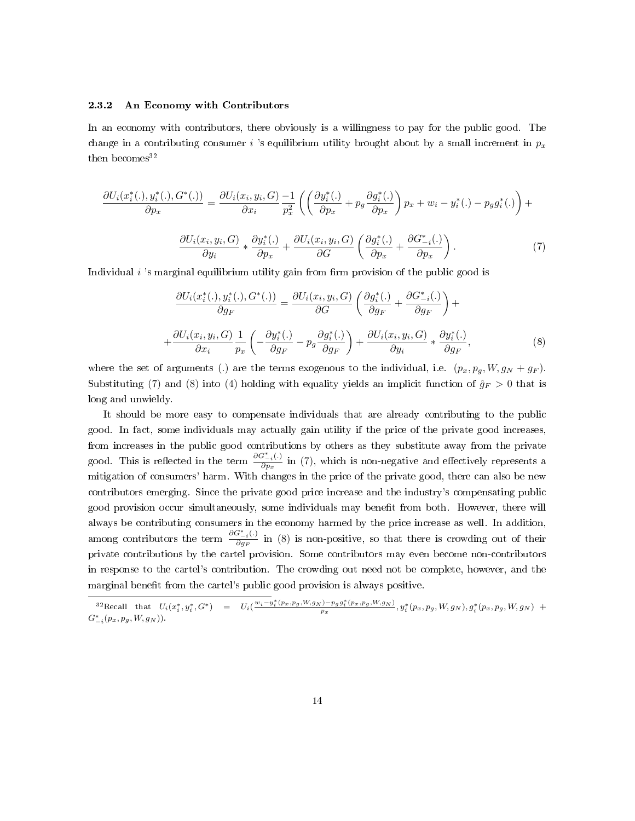#### 2.3.2 An Economy with Contributors

In an economy with contributors, there obviously is a willingness to pay for the public good. The change in a contributing consumer i 's equilibrium utility brought about by a small increment in  $p_x$ then becomes  $32$ 

$$
\frac{\partial U_i(x_i^*(.), y_i^*(.), G^*(.))}{\partial p_x} = \frac{\partial U_i(x_i, y_i, G)}{\partial x_i} \frac{-1}{p_x^2} \left( \left( \frac{\partial y_i^*(.)}{\partial p_x} + p_g \frac{\partial g_i^*(.)}{\partial p_x} \right) p_x + w_i - y_i^*(.) - p_g g_i^*(.) \right) + \frac{\partial U_i(x_i, y_i, G)}{\partial y_i} * \frac{\partial y_i^*(.)}{\partial p_x} + \frac{\partial U_i(x_i, y_i, G)}{\partial G} \left( \frac{\partial g_i^*(.)}{\partial p_x} + \frac{\partial G_{-i}^*(.)}{\partial p_x} \right).
$$
\n(7)

Individual  $i$ 's marginal equilibrium utility gain from firm provision of the public good is

$$
\frac{\partial U_i(x_i^*(.), y_i^*(.), G^*(.))}{\partial g_F} = \frac{\partial U_i(x_i, y_i, G)}{\partial G} \left( \frac{\partial g_i^*(.)}{\partial g_F} + \frac{\partial G_{-i}^*(.)}{\partial g_F} \right) + \n+ \frac{\partial U_i(x_i, y_i, G)}{\partial x_i} \frac{1}{p_x} \left( -\frac{\partial y_i^*(.)}{\partial g_F} - p_g \frac{\partial g_i^*(.)}{\partial g_F} \right) + \frac{\partial U_i(x_i, y_i, G)}{\partial y_i} * \frac{\partial y_i^*(.)}{\partial g_F},
$$
\n(8)

where the set of arguments (.) are the terms exogenous to the individual, i.e.  $(p_x, p_g, W, g_N + g_F)$ . Substituting (7) and (8) into (4) holding with equality yields an implicit function of  $\hat{g}_F > 0$  that is long and unwieldy.

It should be more easy to compensate individuals that are already contributing to the public good. In fact, some individuals may actually gain utility if the price of the private good increases, from increases in the public good contributions by others as they substitute away from the private good. This is reflected in the term  $\frac{\partial G_{-i}^*(.)}{\partial n}$  $\frac{\partial f(z)}{\partial p_x}$  in (7), which is non-negative and effectively represents a mitigation of consumers' harm. With changes in the price of the private good, there can also be new contributors emerging. Since the private good price increase and the industry's compensating public good provision occur simultaneously, some individuals may benefit from both. However, there will always be contributing consumers in the economy harmed by the price increase as well. In addition, among contributors the term  $\frac{\partial G_{-i}^*(.)}{\partial g_{\text{max}}}$  $\frac{\partial \mathcal{F}_{i,j}(x,y)}{\partial g_F}$  in (8) is non-positive, so that there is crowding out of their private contributions by the cartel provision. Some contributors may even become non-contributors in response to the cartel's contribution. The crowding out need not be complete, however, and the marginal benefit from the cartel's public good provision is always positive.

 $^{32}$ Recall that  $U_i(x_i^*, y_i^*, G^*)$  =  $U_i(\frac{w_i - y_i^*(p_x, p_g, W, g_N) - p_g g_i^*(p_x, p_g, W, g_N)}{p_x}, y_i^*(p_x, p_g, W, g_N), g_i^*(p_x, p_g, W, g_N)$  +  $G^*_{-i}(p_x, p_y, W, g_N)$ ).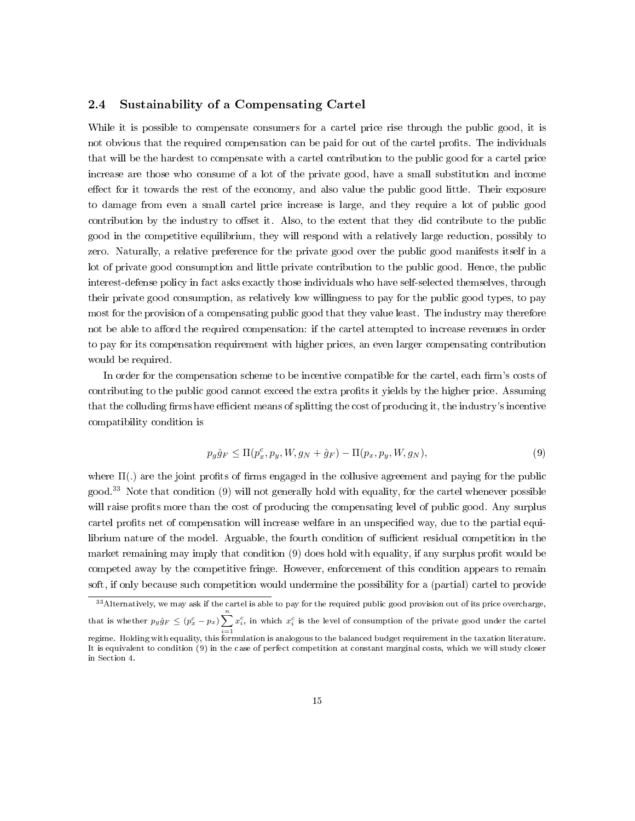### 2.4 Sustainability of a Compensating Cartel

While it is possible to compensate consumers for a cartel price rise through the public good, it is not obvious that the required compensation can be paid for out of the cartel profits. The individuals that will be the hardest to compensate with a cartel contribution to the public good for a cartel price increase are those who consume of a lot of the private good, have a small substitution and income effect for it towards the rest of the economy, and also value the public good little. Their exposure to damage from even a small cartel price increase is large, and they require a lot of public good contribution by the industry to offset it. Also, to the extent that they did contribute to the public good in the competitive equilibrium, they will respond with a relatively large reduction, possibly to zero. Naturally, a relative preference for the private good over the public good manifests itself in a lot of private good consumption and little private contribution to the public good. Hence, the public interest-defense policy in fact asks exactly those individuals who have self-selected themselves, through their private good consumption, as relatively low willingness to pay for the public good types, to pay most for the provision of a compensating public good that they value least. The industry may therefore not be able to afford the required compensation: if the cartel attempted to increase revenues in order to pay for its compensation requirement with higher prices, an even larger compensating contribution would be required.

In order for the compensation scheme to be incentive compatible for the cartel, each firm's costs of contributing to the public good cannot exceed the extra profits it yields by the higher price. Assuming that the colluding firms have efficient means of splitting the cost of producing it, the industry's incentive compatibility condition is

$$
p_g \hat{g}_F \le \Pi(p_x^c, p_y, W, g_N + \hat{g}_F) - \Pi(p_x, p_y, W, g_N),
$$
\n(9)

where  $\Pi(.)$  are the joint profits of firms engaged in the collusive agreement and paying for the public good.<sup>33</sup> Note that condition  $(9)$  will not generally hold with equality, for the cartel whenever possible will raise profits more than the cost of producing the compensating level of public good. Any surplus cartel profits net of compensation will increase welfare in an unspecified way, due to the partial equilibrium nature of the model. Arguable, the fourth condition of sufficient residual competition in the market remaining may imply that condition  $(9)$  does hold with equality, if any surplus profit would be competed away by the competitive fringe. However, enforcement of this condition appears to remain soft, if only because such competition would undermine the possibility for a (partial) cartel to provide

 $33$  Alternatively, we may ask if the cartel is able to pay for the required public good provision out of its price overcharge, that is whether  $p_g\hat{g}_F \leq (p_x^c - p_x)\sum_{i}^n x_i^c$ , in which  $x_i^c$  is the level of consumption of the private good under the cartel

 $\genfrac{}{}{0pt}{}{\scriptstyle i=1}{\scriptstyle i=1}$  regime. Holding with equality, this formulation is analogous to the balanced budget requirement in the taxation literature. It is equivalent to condition (9) in the case of perfect competition at constant marginal costs, which we will study closer in Section 4.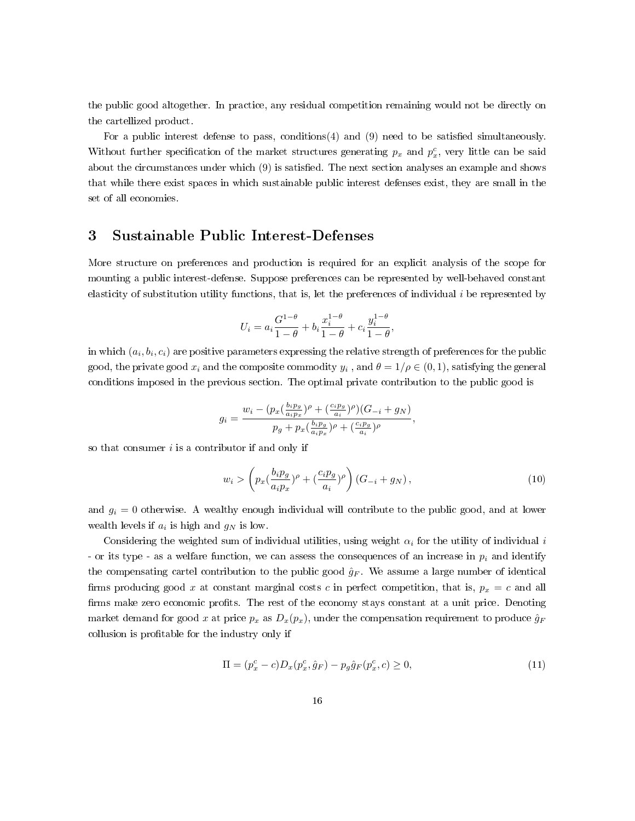the public good altogether. In practice, any residual competition remaining would not be directly on the cartellized product.

For a public interest defense to pass, conditions $(4)$  and  $(9)$  need to be satisfied simultaneously. Without further specification of the market structures generating  $p_x$  and  $p_x^c$ , very little can be said about the circumstances under which (9) is satised. The next section analyses an example and shows that while there exist spaces in which sustainable public interest defenses exist, they are small in the set of all economies.

### 3 Sustainable Public Interest-Defenses

More structure on preferences and production is required for an explicit analysis of the scope for mounting a public interest-defense. Suppose preferences can be represented by well-behaved constant elasticity of substitution utility functions, that is, let the preferences of individual i be represented by

$$
U_i = a_i \frac{G^{1-\theta}}{1-\theta} + b_i \frac{x_i^{1-\theta}}{1-\theta} + c_i \frac{y_i^{1-\theta}}{1-\theta},
$$

in which  $\left(a_{i},b_{i},c_{i}\right)$  are positive parameters expressing the relative strength of preferences for the public good, the private good  $x_i$  and the composite commodity  $y_i$  , and  $\theta = 1/\rho \in (0,1)$ , satisfying the general conditions imposed in the previous section. The optimal private contribution to the public good is

$$
g_i = \frac{w_i - (p_x(\frac{b_i p_g}{a_i p_x})^{\rho} + (\frac{c_i p_g}{a_i})^{\rho})(G_{-i} + g_N)}{p_g + p_x(\frac{b_i p_g}{a_i p_x})^{\rho} + (\frac{c_i p_g}{a_i})^{\rho}},
$$

so that consumer  $i$  is a contributor if and only if

$$
w_i > \left( p_x \left( \frac{b_i p_g}{a_i p_x} \right)^{\rho} + \left( \frac{c_i p_g}{a_i} \right)^{\rho} \right) \left( G_{-i} + g_N \right), \tag{10}
$$

and  $g_i = 0$  otherwise. A wealthy enough individual will contribute to the public good, and at lower wealth levels if  $a_i$  is high and  $g_N$  is low.

Considering the weighted sum of individual utilities, using weight  $\alpha_i$  for the utility of individual i - or its type - as a welfare function, we can assess the consequences of an increase in  $p_i$  and identify the compensating cartel contribution to the public good  $\hat{g}_F$ . We assume a large number of identical firms producing good x at constant marginal costs c in perfect competition, that is,  $p_x = c$  and all firms make zero economic profits. The rest of the economy stays constant at a unit price. Denoting market demand for good x at price  $p_x$  as  $D_x(p_x)$ , under the compensation requirement to produce  $\hat{g}_F$ collusion is profitable for the industry only if

$$
\Pi = (p_x^c - c)D_x(p_x^c, \hat{g}_F) - p_g\hat{g}_F(p_x^c, c) \ge 0,
$$
\n(11)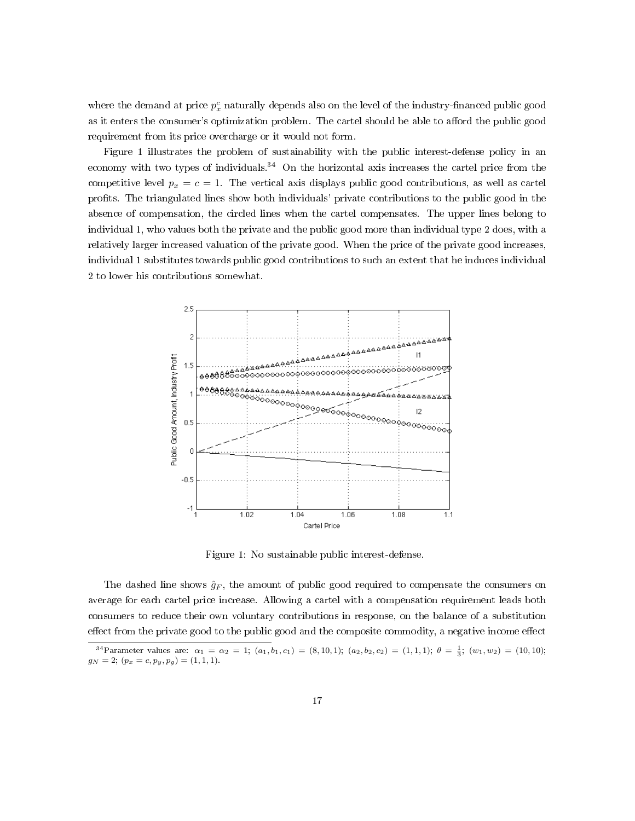where the demand at price  $p_x^c$  naturally depends also on the level of the industry-financed public good as it enters the consumer's optimization problem. The cartel should be able to afford the public good requirement from its price overcharge or it would not form.

Figure 1 illustrates the problem of sustainability with the public interest-defense policy in an economy with two types of individuals.<sup>34</sup> On the horizontal axis increases the cartel price from the competitive level  $p_x = c = 1$ . The vertical axis displays public good contributions, as well as cartel prots. The triangulated lines show both individuals' private contributions to the public good in the absence of compensation, the circled lines when the cartel compensates. The upper lines belong to individual 1, who values both the private and the public good more than individual type 2 does, with a relatively larger increased valuation of the private good. When the price of the private good increases, individual 1 substitutes towards public good contributions to such an extent that he induces individual 2 to lower his contributions somewhat.



Figure 1: No sustainable public interest-defense.

The dashed line shows  $\hat{g}_F$ , the amount of public good required to compensate the consumers on average for each cartel price increase. Allowing a cartel with a compensation requirement leads both consumers to reduce their own voluntary contributions in response, on the balance of a substitution effect from the private good to the public good and the composite commodity, a negative income effect

<sup>&</sup>lt;sup>34</sup>Parameter values are:  $\alpha_1 = \alpha_2 = 1$ ;  $(a_1, b_1, c_1) = (8, 10, 1)$ ;  $(a_2, b_2, c_2) = (1, 1, 1)$ ;  $\theta = \frac{1}{3}$ ;  $(w_1, w_2) = (10, 10)$ ;  $g_N = 2; (p_x = c, p_y, p_g) = (1, 1, 1).$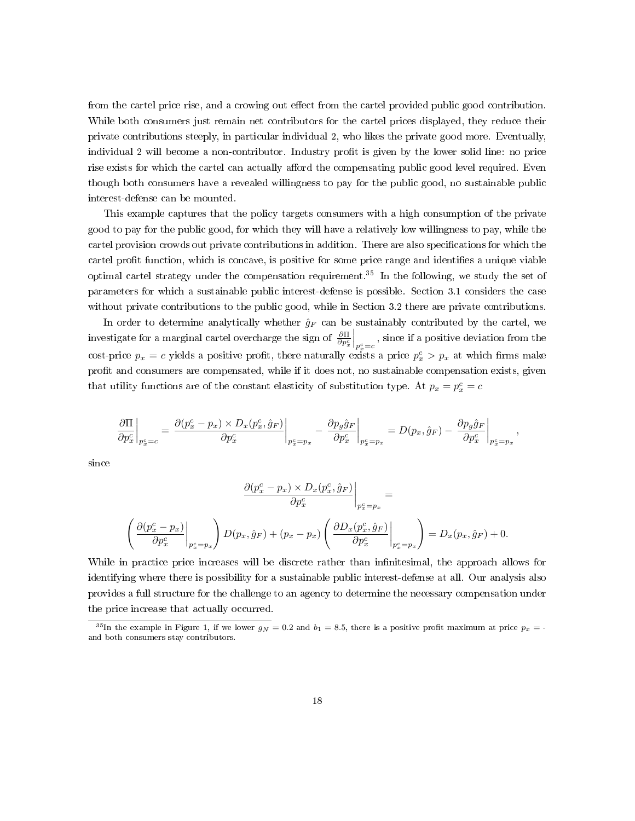from the cartel price rise, and a crowing out effect from the cartel provided public good contribution. While both consumers just remain net contributors for the cartel prices displayed, they reduce their private contributions steeply, in particular individual 2, who likes the private good more. Eventually, individual 2 will become a non-contributor. Industry profit is given by the lower solid line: no price rise exists for which the cartel can actually afford the compensating public good level required. Even though both consumers have a revealed willingness to pay for the public good, no sustainable public interest-defense can be mounted.

This example captures that the policy targets consumers with a high consumption of the private good to pay for the public good, for which they will have a relatively low willingness to pay, while the cartel provision crowds out private contributions in addition. There are also specifications for which the cartel profit function, which is concave, is positive for some price range and identifies a unique viable optimal cartel strategy under the compensation requirement.<sup>35</sup> In the following, we study the set of parameters for which a sustainable public interest-defense is possible. Section 3.1 considers the case without private contributions to the public good, while in Section 3.2 there are private contributions.

In order to determine analytically whether  $\hat{g}_F$  can be sustainably contributed by the cartel, we investigate for a marginal cartel overcharge the sign of  $\frac{\partial \Pi}{\partial p_x^c}$  $\bigg|_{p_x^c=c}$ , since if a positive deviation from the cost-price  $p_x = c$  yields a positive profit, there naturally exists a price  $p_x^c > p_x$  at which firms make profit and consumers are compensated, while if it does not, no sustainable compensation exists, given that utility functions are of the constant elasticity of substitution type. At  $p_x = p_x^c = c$ 

$$
\left.\frac{\partial \Pi}{\partial p_x^c}\right|_{p_x^c=c}=\left.\frac{\partial (p_x^c-p_x)\times D_x(p_x^c,\hat{g}_F)}{\partial p_x^c}\right|_{p_x^c=p_x}-\left.\frac{\partial p_g\hat{g}_F}{\partial p_x^c}\right|_{p_x^c=p_x}=D(p_x,\hat{g}_F)-\left.\frac{\partial p_g\hat{g}_F}{\partial p_x^c}\right|_{p_x^c=p_x},
$$

since

$$
\frac{\partial (p_x^c - p_x) \times D_x(p_x^c, \hat{g}_F)}{\partial p_x^c}\Big|_{p_x^c = p_x} =
$$
\n
$$
\left(\frac{\partial (p_x^c - p_x)}{\partial p_x^c}\Big|_{p_x^c = p_x}\right) D(p_x, \hat{g}_F) + (p_x - p_x) \left(\frac{\partial D_x(p_x^c, \hat{g}_F)}{\partial p_x^c}\Big|_{p_x^c = p_x}\right) = D_x(p_x, \hat{g}_F) + 0.
$$

While in practice price increases will be discrete rather than infinitesimal, the approach allows for identifying where there is possibility for a sustainable public interest-defense at all. Our analysis also provides a full structure for the challenge to an agency to determine the necessary compensation under the price increase that actually occurred.

<sup>&</sup>lt;sup>35</sup>In the example in Figure 1, if we lower  $g_N = 0.2$  and  $b_1 = 8.5$ , there is a positive profit maximum at price  $p_x = -1$ and both consumers stay contributors.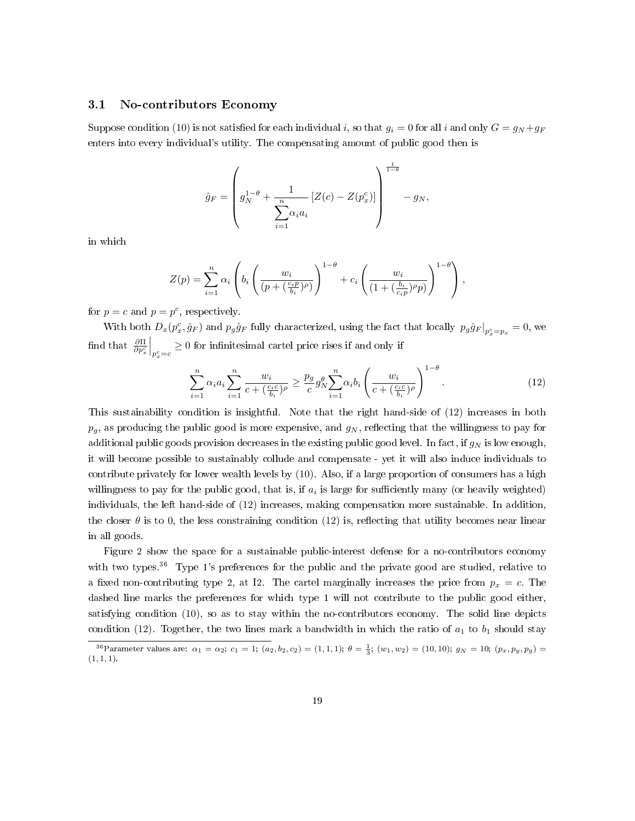#### 3.1 No-contributors Economy

Suppose condition (10) is not satisfied for each individual i, so that  $g_i = 0$  for all i and only  $G = g_N + g_F$ enters into every individual's utility. The compensating amount of public good then is

$$
\hat{g}_F = \left(g_N^{1-\theta} + \frac{1}{\sum_{i=1}^n \alpha_i a_i} \left[Z(c) - Z(p_x^c)\right]\right)^{\frac{1}{1-\theta}} - g_N,
$$

in which

$$
Z(p) = \sum_{i=1}^{n} \alpha_i \left( b_i \left( \frac{w_i}{(p + (\frac{c_i p}{b_i})^{\rho})} \right)^{1-\theta} + c_i \left( \frac{w_i}{(1 + (\frac{b_i}{c_i p})^{\rho} p)} \right)^{1-\theta} \right),
$$

for  $p = c$  and  $p = p^c$ , respectively.

With both  $D_x(p_x^c, \hat{g}_F)$  and  $p_g\hat{g}_F$  fully characterized, using the fact that locally  $p_g\hat{g}_F|_{p_x^c=p_x}=0$ , we find that  $\frac{\partial \Pi}{\partial p_x^c}$  $\Big|_{p_x^c=c} \geq 0$  for infinitesimal cartel price rises if and only if

$$
\sum_{i=1}^{n} \alpha_i a_i \sum_{i=1}^{n} \frac{w_i}{c + (\frac{c_i c}{b_i})^{\rho}} \ge \frac{p_g}{c} g_N^{\theta} \sum_{i=1}^{n} \alpha_i b_i \left(\frac{w_i}{c + (\frac{c_i c}{b_i})^{\rho}}\right)^{1-\theta}.
$$
\n(12)

This sustainability condition is insightful. Note that the right hand-side of (12) increases in both  $p_q$ , as producing the public good is more expensive, and  $g_N$ , reflecting that the willingness to pay for additional public goods provision decreases in the existing public good level. In fact, if  $g_N$  is low enough, it will become possible to sustainably collude and compensate - yet it will also induce individuals to contribute privately for lower wealth levels by (10). Also, if a large proportion of consumers has a high willingness to pay for the public good, that is, if  $a_i$  is large for sufficiently many (or heavily weighted) individuals, the left hand-side of (12) increases, making compensation more sustainable. In addition, the closer  $\theta$  is to 0, the less constraining condition (12) is, reflecting that utility becomes near linear in all goods.

Figure 2 show the space for a sustainable public-interest defense for a no-contributors economy with two types.<sup>36</sup> Type 1's preferences for the public and the private good are studied, relative to a fixed non-contributing type 2, at I2. The cartel marginally increases the price from  $p_x = c$ . The dashed line marks the preferences for which type 1 will not contribute to the public good either, satisfying condition (10), so as to stay within the no-contributors economy. The solid line depicts condition (12). Together, the two lines mark a bandwidth in which the ratio of  $a_1$  to  $b_1$  should stay

<sup>36</sup> Parameter values are:  $\alpha_1 = \alpha_2$ ;  $c_1 = 1$ ;  $(a_2, b_2, c_2) = (1, 1, 1)$ ;  $\theta = \frac{1}{3}$ ;  $(w_1, w_2) = (10, 10)$ ;  $g_N = 10$ ;  $(p_x, p_y, p_g) =$  $(1, 1, 1).$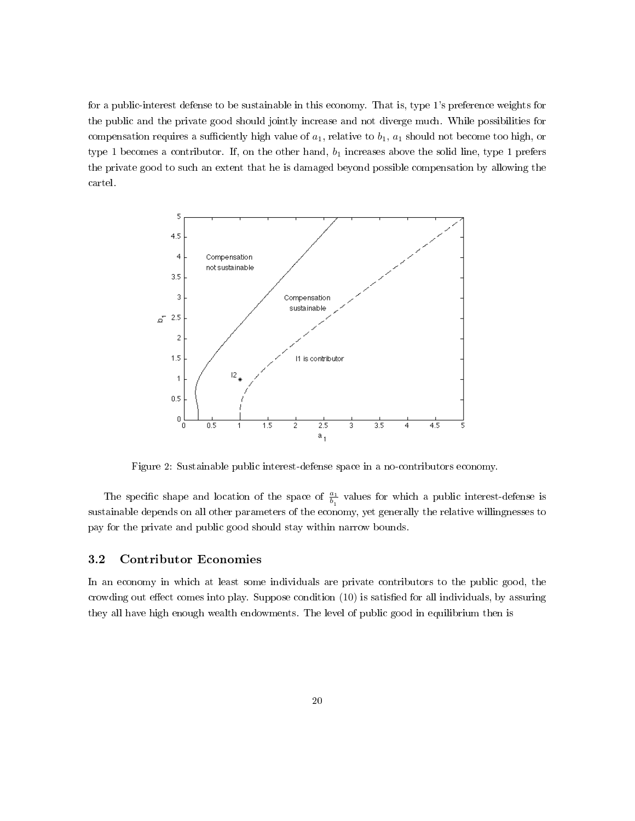for a public-interest defense to be sustainable in this economy. That is, type 1's preference weights for the public and the private good should jointly increase and not diverge much. While possibilities for compensation requires a sufficiently high value of  $a_1$ , relative to  $b_1$ ,  $a_1$  should not become too high, or type 1 becomes a contributor. If, on the other hand,  $b_1$  increases above the solid line, type 1 prefers the private good to such an extent that he is damaged beyond possible compensation by allowing the cartel.



Figure 2: Sustainable public interest-defense space in a no-contributors economy.

The specific shape and location of the space of  $\frac{a_1}{b_1}$  values for which a public interest-defense is sustainable depends on all other parameters of the economy, yet generally the relative willingnesses to pay for the private and public good should stay within narrow bounds.

### 3.2 Contributor Economies

In an economy in which at least some individuals are private contributors to the public good, the crowding out effect comes into play. Suppose condition  $(10)$  is satisfied for all individuals, by assuring they all have high enough wealth endowments. The level of public good in equilibrium then is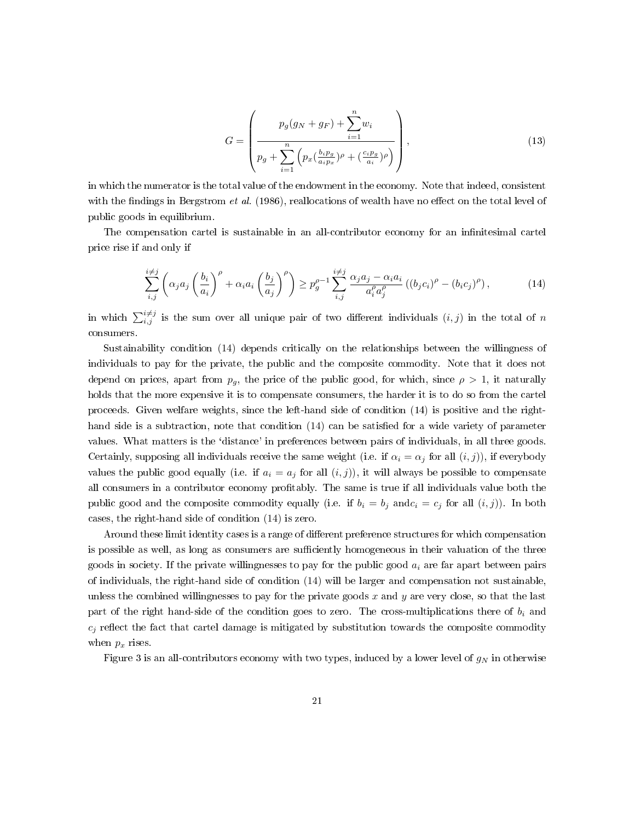$$
G = \left(\frac{p_g(g_N + g_F) + \sum_{i=1}^n w_i}{p_g + \sum_{i=1}^n \left(p_x(\frac{b_i p_g}{a_i p_x})^{\rho} + (\frac{c_i p_g}{a_i})^{\rho}\right)}\right),
$$
\n(13)

in which the numerator is the total value of the endowment in the economy. Note that indeed, consistent with the findings in Bergstrom *et al.* (1986), reallocations of wealth have no effect on the total level of public goods in equilibrium.

The compensation cartel is sustainable in an all-contributor economy for an infinitesimal cartel price rise if and only if

$$
\sum_{i,j}^{i \neq j} \left( \alpha_j a_j \left( \frac{b_i}{a_i} \right)^{\rho} + \alpha_i a_i \left( \frac{b_j}{a_j} \right)^{\rho} \right) \ge p_g^{\rho - 1} \sum_{i,j}^{i \neq j} \frac{\alpha_j a_j - \alpha_i a_i}{a_i^{\rho} a_j^{\rho}} \left( (b_j c_i)^{\rho} - (b_i c_j)^{\rho} \right),\tag{14}
$$

in which  $\sum_{i,j}^{i\neq j}$  is the sum over all unique pair of two different individuals  $(i, j)$  in the total of n consumers.

Sustainability condition (14) depends critically on the relationships between the willingness of individuals to pay for the private, the public and the composite commodity. Note that it does not depend on prices, apart from  $p_q$ , the price of the public good, for which, since  $\rho > 1$ , it naturally holds that the more expensive it is to compensate consumers, the harder it is to do so from the cartel proceeds. Given welfare weights, since the left-hand side of condition (14) is positive and the righthand side is a subtraction, note that condition  $(14)$  can be satisfied for a wide variety of parameter values. What matters is the `distance' in preferences between pairs of individuals, in all three goods. Certainly, supposing all individuals receive the same weight (i.e. if  $\alpha_i = \alpha_j$  for all  $(i, j)$ ), if everybody values the public good equally (i.e. if  $a_i = a_j$  for all  $(i, j)$ ), it will always be possible to compensate all consumers in a contributor economy protably. The same is true if all individuals value both the public good and the composite commodity equally (i.e. if  $b_i = b_j$  and  $c_i = c_j$  for all  $(i, j)$ ). In both cases, the right-hand side of condition (14) is zero.

Around these limit identity cases is a range of different preference structures for which compensation is possible as well, as long as consumers are sufficiently homogeneous in their valuation of the three goods in society. If the private willingnesses to pay for the public good  $a_i$  are far apart between pairs of individuals, the right-hand side of condition (14) will be larger and compensation not sustainable, unless the combined willingnesses to pay for the private goods  $x$  and  $y$  are very close, so that the last part of the right hand-side of the condition goes to zero. The cross-multiplications there of  $b_i$  and  $c_j$  reflect the fact that cartel damage is mitigated by substitution towards the composite commodity when  $p_x$  rises.

Figure 3 is an all-contributors economy with two types, induced by a lower level of  $g_N$  in otherwise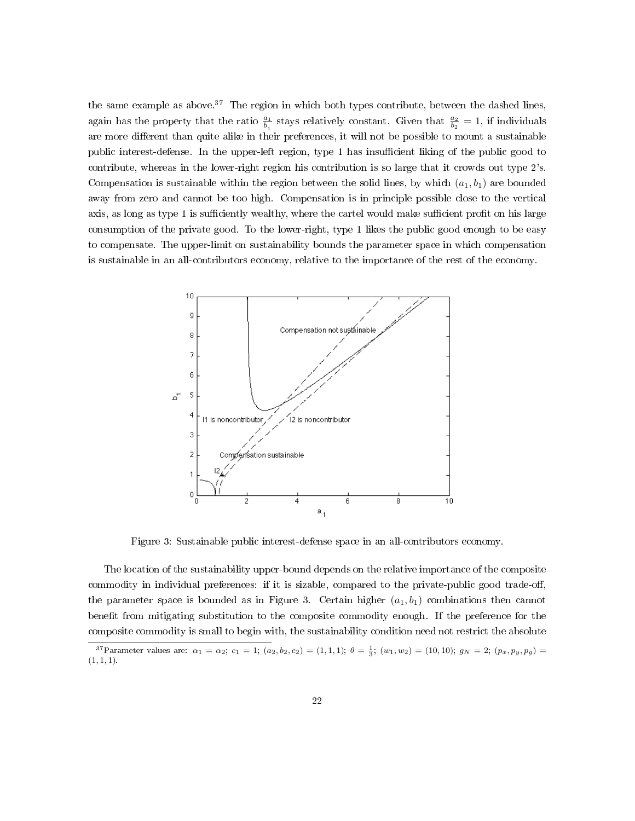the same example as above.<sup>37</sup> The region in which both types contribute, between the dashed lines, again has the property that the ratio  $\frac{a_1}{b_1}$  stays relatively constant. Given that  $\frac{a_2}{b_2} = 1$ , if individuals are more different than quite alike in their preferences, it will not be possible to mount a sustainable public interest-defense. In the upper-left region, type 1 has insufficient liking of the public good to contribute, whereas in the lower-right region his contribution is so large that it crowds out type 2's. Compensation is sustainable within the region between the solid lines, by which  $(a_1, b_1)$  are bounded away from zero and cannot be too high. Compensation is in principle possible close to the vertical axis, as long as type 1 is sufficiently wealthy, where the cartel would make sufficient profit on his large consumption of the private good. To the lower-right, type 1 likes the public good enough to be easy to compensate. The upper-limit on sustainability bounds the parameter space in which compensation is sustainable in an all-contributors economy, relative to the importance of the rest of the economy.



Figure 3: Sustainable public interest-defense space in an all-contributors economy.

The location of the sustainability upper-bound depends on the relative importance of the composite commodity in individual preferences: if it is sizable, compared to the private-public good trade-off, the parameter space is bounded as in Figure 3. Certain higher  $(a_1, b_1)$  combinations then cannot benefit from mitigating substitution to the composite commodity enough. If the preference for the composite commodity is small to begin with, the sustainability condition need not restrict the absolute

<sup>37</sup> Parameter values are:  $\alpha_1 = \alpha_2$ ;  $c_1 = 1$ ;  $(a_2, b_2, c_2) = (1, 1, 1)$ ;  $\theta = \frac{1}{3}$ ;  $(w_1, w_2) = (10, 10)$ ;  $g_N = 2$ ;  $(p_x, p_y, p_g) =$  $(1, 1, 1).$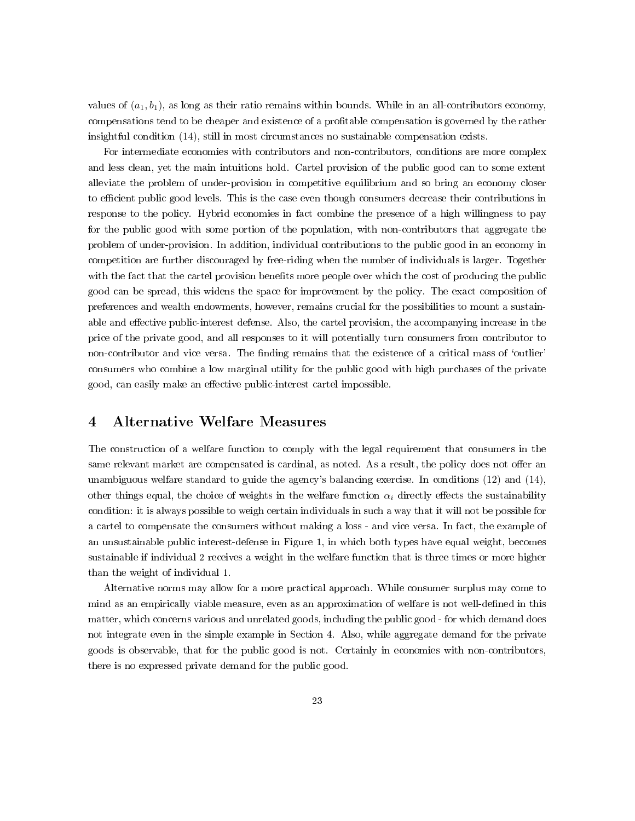values of  $(a_1, b_1)$ , as long as their ratio remains within bounds. While in an all-contributors economy, compensations tend to be cheaper and existence of a profitable compensation is governed by the rather insightful condition (14), still in most circumstances no sustainable compensation exists.

For intermediate economies with contributors and non-contributors, conditions are more complex and less clean, yet the main intuitions hold. Cartel provision of the public good can to some extent alleviate the problem of under-provision in competitive equilibrium and so bring an economy closer to efficient public good levels. This is the case even though consumers decrease their contributions in response to the policy. Hybrid economies in fact combine the presence of a high willingness to pay for the public good with some portion of the population, with non-contributors that aggregate the problem of under-provision. In addition, individual contributions to the public good in an economy in competition are further discouraged by free-riding when the number of individuals is larger. Together with the fact that the cartel provision benefits more people over which the cost of producing the public good can be spread, this widens the space for improvement by the policy. The exact composition of preferences and wealth endowments, however, remains crucial for the possibilities to mount a sustainable and effective public-interest defense. Also, the cartel provision, the accompanying increase in the price of the private good, and all responses to it will potentially turn consumers from contributor to non-contributor and vice versa. The finding remains that the existence of a critical mass of 'outlier' consumers who combine a low marginal utility for the public good with high purchases of the private good, can easily make an effective public-interest cartel impossible.

### 4 Alternative Welfare Measures

The construction of a welfare function to comply with the legal requirement that consumers in the same relevant market are compensated is cardinal, as noted. As a result, the policy does not offer an unambiguous welfare standard to guide the agency's balancing exercise. In conditions (12) and (14), other things equal, the choice of weights in the welfare function  $\alpha_i$  directly effects the sustainability condition: it is always possible to weigh certain individuals in such a way that it will not be possible for a cartel to compensate the consumers without making a loss - and vice versa. In fact, the example of an unsustainable public interest-defense in Figure 1, in which both types have equal weight, becomes sustainable if individual 2 receives a weight in the welfare function that is three times or more higher than the weight of individual 1.

Alternative norms may allow for a more practical approach. While consumer surplus may come to mind as an empirically viable measure, even as an approximation of welfare is not well-defined in this matter, which concerns various and unrelated goods, including the public good - for which demand does not integrate even in the simple example in Section 4. Also, while aggregate demand for the private goods is observable, that for the public good is not. Certainly in economies with non-contributors, there is no expressed private demand for the public good.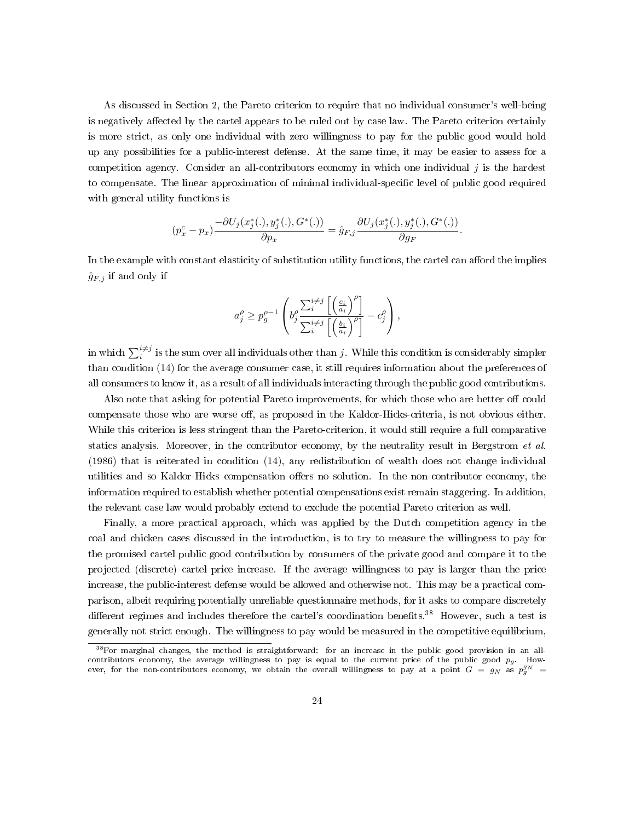As discussed in Section 2, the Pareto criterion to require that no individual consumer's well-being is negatively affected by the cartel appears to be ruled out by case law. The Pareto criterion certainly is more strict, as only one individual with zero willingness to pay for the public good would hold up any possibilities for a public-interest defense. At the same time, it may be easier to assess for a competition agency. Consider an all-contributors economy in which one individual  $j$  is the hardest to compensate. The linear approximation of minimal individual-specific level of public good required with general utility functions is

$$
(p_x^c - p_x) \frac{-\partial U_j(x_j^*(\cdot), y_j^*(\cdot), G^*(\cdot))}{\partial p_x} = \hat{g}_{F,j} \frac{\partial U_j(x_j^*(\cdot), y_j^*(\cdot), G^*(\cdot))}{\partial g_F}.
$$

In the example with constant elasticity of substitution utility functions, the cartel can afford the implies  $\hat{g}_{F,j}$  if and only if

$$
a_j^{\rho} \ge p_g^{\rho-1} \left( b_j^{\rho} \frac{\sum_i^{i \ne j} \left[ \left( \frac{c_i}{a_i} \right)^{\rho} \right]}{\sum_i^{i \ne j} \left[ \left( \frac{b_i}{a_i} \right)^{\rho} \right]} - c_j^{\rho} \right),
$$

in which  $\sum_i^{i\neq j}$  is the sum over all individuals other than  $j$ . While this condition is considerably simpler than condition (14) for the average consumer case, it still requires information about the preferences of all consumers to know it, as a result of all individuals interacting through the public good contributions.

Also note that asking for potential Pareto improvements, for which those who are better off could compensate those who are worse off, as proposed in the Kaldor-Hicks-criteria, is not obvious either. While this criterion is less stringent than the Pareto-criterion, it would still require a full comparative statics analysis. Moreover, in the contributor economy, by the neutrality result in Bergstrom et al. (1986) that is reiterated in condition (14), any redistribution of wealth does not change individual utilities and so Kaldor-Hicks compensation offers no solution. In the non-contributor economy, the information required to establish whether potential compensations exist remain staggering. In addition, the relevant case law would probably extend to exclude the potential Pareto criterion as well.

Finally, a more practical approach, which was applied by the Dutch competition agency in the coal and chicken cases discussed in the introduction, is to try to measure the willingness to pay for the promised cartel public good contribution by consumers of the private good and compare it to the projected (discrete) cartel price increase. If the average willingness to pay is larger than the price increase, the public-interest defense would be allowed and otherwise not. This may be a practical comparison, albeit requiring potentially unreliable questionnaire methods, for it asks to compare discretely different regimes and includes therefore the cartel's coordination benefits.<sup>38</sup> However, such a test is generally not strict enough. The willingness to pay would be measured in the competitive equilibrium,

<sup>38</sup>For marginal changes, the method is straightforward: for an increase in the public good provision in an allcontributors economy, the average willingness to pay is equal to the current price of the public good  $p_g$ . However, for the non-contributors economy, we obtain the overall willingness to pay at a point  $G = g_N$  as  $p_g^{g_N} =$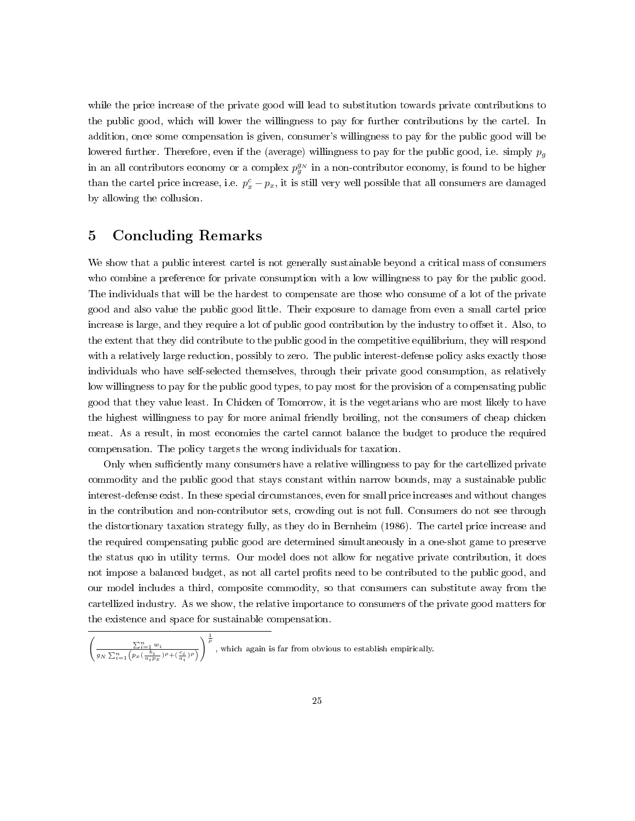while the price increase of the private good will lead to substitution towards private contributions to the public good, which will lower the willingness to pay for further contributions by the cartel. In addition, once some compensation is given, consumer's willingness to pay for the public good will be lowered further. Therefore, even if the (average) willingness to pay for the public good, i.e. simply  $p_q$ in an all contributors economy or a complex  $p_g^{g_N}$  in a non-contributor economy, is found to be higher than the cartel price increase, i.e.  $p_x^c - p_x$ , it is still very well possible that all consumers are damaged by allowing the collusion.

### 5 Concluding Remarks

We show that a public interest cartel is not generally sustainable beyond a critical mass of consumers who combine a preference for private consumption with a low willingness to pay for the public good. The individuals that will be the hardest to compensate are those who consume of a lot of the private good and also value the public good little. Their exposure to damage from even a small cartel price increase is large, and they require a lot of public good contribution by the industry to offset it. Also, to the extent that they did contribute to the public good in the competitive equilibrium, they will respond with a relatively large reduction, possibly to zero. The public interest-defense policy asks exactly those individuals who have self-selected themselves, through their private good consumption, as relatively low willingness to pay for the public good types, to pay most for the provision of a compensating public good that they value least. In Chicken of Tomorrow, it is the vegetarians who are most likely to have the highest willingness to pay for more animal friendly broiling, not the consumers of cheap chicken meat. As a result, in most economies the cartel cannot balance the budget to produce the required compensation. The policy targets the wrong individuals for taxation.

Only when sufficiently many consumers have a relative willingness to pay for the cartellized private commodity and the public good that stays constant within narrow bounds, may a sustainable public interest-defense exist. In these special circumstances, even for small price increases and without changes in the contribution and non-contributor sets, crowding out is not full. Consumers do not see through the distortionary taxation strategy fully, as they do in Bernheim (1986). The cartel price increase and the required compensating public good are determined simultaneously in a one-shot game to preserve the status quo in utility terms. Our model does not allow for negative private contribution, it does not impose a balanced budget, as not all cartel profits need to be contributed to the public good, and our model includes a third, composite commodity, so that consumers can substitute away from the cartellized industry. As we show, the relative importance to consumers of the private good matters for the existence and space for sustainable compensation.

$$
\left(\frac{\sum_{i=1}^n w_i}{g_N \sum_{i=1}^n \left(p_x(\frac{b_i}{a_ip_x})^{\rho} + (\frac{c_i}{a_i})^{\rho}\right)}\right)^{\frac{1}{\rho}},
$$
 which again is far from obvious to establish empirically.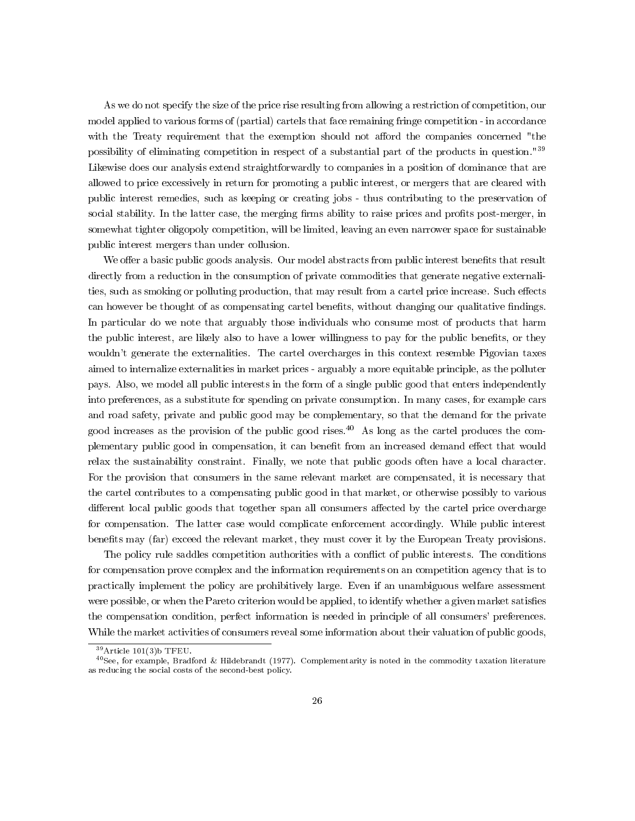As we do not specify the size of the price rise resulting from allowing a restriction of competition, our model applied to various forms of (partial) cartels that face remaining fringe competition - in accordance with the Treaty requirement that the exemption should not afford the companies concerned "the possibility of eliminating competition in respect of a substantial part of the products in question."<sup>39</sup> Likewise does our analysis extend straightforwardly to companies in a position of dominance that are allowed to price excessively in return for promoting a public interest, or mergers that are cleared with public interest remedies, such as keeping or creating jobs - thus contributing to the preservation of social stability. In the latter case, the merging firms ability to raise prices and profits post-merger, in somewhat tighter oligopoly competition, will be limited, leaving an even narrower space for sustainable public interest mergers than under collusion.

We offer a basic public goods analysis. Our model abstracts from public interest benefits that result directly from a reduction in the consumption of private commodities that generate negative externalities, such as smoking or polluting production, that may result from a cartel price increase. Such effects can however be thought of as compensating cartel benefits, without changing our qualitative findings. In particular do we note that arguably those individuals who consume most of products that harm the public interest, are likely also to have a lower willingness to pay for the public benets, or they wouldn't generate the externalities. The cartel overcharges in this context resemble Pigovian taxes aimed to internalize externalities in market prices - arguably a more equitable principle, as the polluter pays. Also, we model all public interests in the form of a single public good that enters independently into preferences, as a substitute for spending on private consumption. In many cases, for example cars and road safety, private and public good may be complementary, so that the demand for the private good increases as the provision of the public good rises.<sup>40</sup> As long as the cartel produces the complementary public good in compensation, it can benefit from an increased demand effect that would relax the sustainability constraint. Finally, we note that public goods often have a local character. For the provision that consumers in the same relevant market are compensated, it is necessary that the cartel contributes to a compensating public good in that market, or otherwise possibly to various different local public goods that together span all consumers affected by the cartel price overcharge for compensation. The latter case would complicate enforcement accordingly. While public interest benefits may (far) exceed the relevant market, they must cover it by the European Treaty provisions.

The policy rule saddles competition authorities with a conflict of public interests. The conditions for compensation prove complex and the information requirements on an competition agency that is to practically implement the policy are prohibitively large. Even if an unambiguous welfare assessment were possible, or when the Pareto criterion would be applied, to identify whether a given market satisfies the compensation condition, perfect information is needed in principle of all consumers' preferences. While the market activities of consumers reveal some information about their valuation of public goods,

 $39$ Article 101(3)b TFEU.

 $^{40}$ See, for example, Bradford & Hildebrandt (1977). Complementarity is noted in the commodity taxation literature as reducing the social costs of the second-best policy.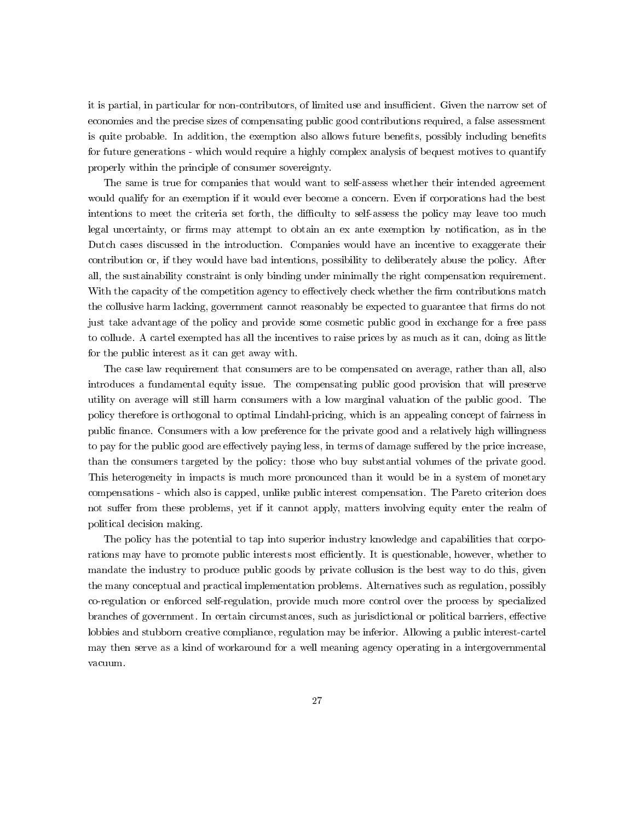it is partial, in particular for non-contributors, of limited use and insufficient. Given the narrow set of economies and the precise sizes of compensating public good contributions required, a false assessment is quite probable. In addition, the exemption also allows future benefits, possibly including benefits for future generations - which would require a highly complex analysis of bequest motives to quantify properly within the principle of consumer sovereignty.

The same is true for companies that would want to self-assess whether their intended agreement would qualify for an exemption if it would ever become a concern. Even if corporations had the best intentions to meet the criteria set forth, the difficulty to self-assess the policy may leave too much legal uncertainty, or firms may attempt to obtain an ex ante exemption by notification, as in the Dutch cases discussed in the introduction. Companies would have an incentive to exaggerate their contribution or, if they would have bad intentions, possibility to deliberately abuse the policy. After all, the sustainability constraint is only binding under minimally the right compensation requirement. With the capacity of the competition agency to effectively check whether the firm contributions match the collusive harm lacking, government cannot reasonably be expected to guarantee that firms do not just take advantage of the policy and provide some cosmetic public good in exchange for a free pass to collude. A cartel exempted has all the incentives to raise prices by as much as it can, doing as little for the public interest as it can get away with.

The case law requirement that consumers are to be compensated on average, rather than all, also introduces a fundamental equity issue. The compensating public good provision that will preserve utility on average will still harm consumers with a low marginal valuation of the public good. The policy therefore is orthogonal to optimal Lindahl-pricing, which is an appealing concept of fairness in public nance. Consumers with a low preference for the private good and a relatively high willingness to pay for the public good are effectively paying less, in terms of damage suffered by the price increase, than the consumers targeted by the policy: those who buy substantial volumes of the private good. This heterogeneity in impacts is much more pronounced than it would be in a system of monetary compensations - which also is capped, unlike public interest compensation. The Pareto criterion does not suffer from these problems, yet if it cannot apply, matters involving equity enter the realm of political decision making.

The policy has the potential to tap into superior industry knowledge and capabilities that corporations may have to promote public interests most efficiently. It is questionable, however, whether to mandate the industry to produce public goods by private collusion is the best way to do this, given the many conceptual and practical implementation problems. Alternatives such as regulation, possibly co-regulation or enforced self-regulation, provide much more control over the process by specialized branches of government. In certain circumstances, such as jurisdictional or political barriers, effective lobbies and stubborn creative compliance, regulation may be inferior. Allowing a public interest-cartel may then serve as a kind of workaround for a well meaning agency operating in a intergovernmental vacuum.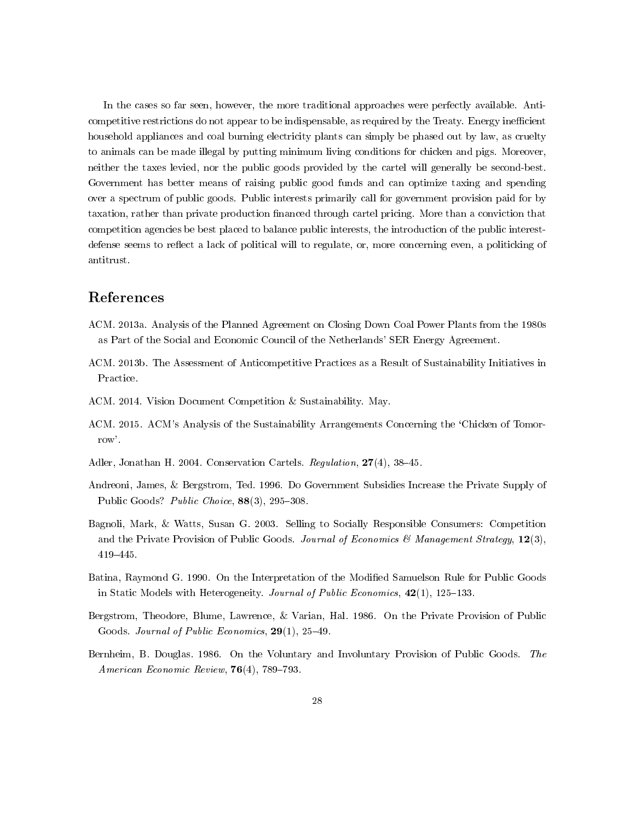In the cases so far seen, however, the more traditional approaches were perfectly available. Anticompetitive restrictions do not appear to be indispensable, as required by the Treaty. Energy inefficient household appliances and coal burning electricity plants can simply be phased out by law, as cruelty to animals can be made illegal by putting minimum living conditions for chicken and pigs. Moreover, neither the taxes levied, nor the public goods provided by the cartel will generally be second-best. Government has better means of raising public good funds and can optimize taxing and spending over a spectrum of public goods. Public interests primarily call for government provision paid for by taxation, rather than private production financed through cartel pricing. More than a conviction that competition agencies be best placed to balance public interests, the introduction of the public interestdefense seems to reflect a lack of political will to regulate, or, more concerning even, a politicking of antitrust.

### References

- ACM. 2013a. Analysis of the Planned Agreement on Closing Down Coal Power Plants from the 1980s as Part of the Social and Economic Council of the Netherlands' SER Energy Agreement.
- ACM. 2013b. The Assessment of Anticompetitive Practices as a Result of Sustainability Initiatives in Practice.
- ACM. 2014. Vision Document Competition & Sustainability. May.
- ACM. 2015. ACM's Analysis of the Sustainability Arrangements Concerning the 'Chicken of Tomorrow'.
- Adler, Jonathan H. 2004. Conservation Cartels. Regulation, 27(4), 38-45.
- Andreoni, James, & Bergstrom, Ted. 1996. Do Government Subsidies Increase the Private Supply of Public Goods? Public Choice, 88(3), 295-308.
- Bagnoli, Mark, & Watts, Susan G. 2003. Selling to Socially Responsible Consumers: Competition and the Private Provision of Public Goods. Journal of Economics & Management Strategy,  $12(3)$ , 419445.
- Batina, Raymond G. 1990. On the Interpretation of the Modied Samuelson Rule for Public Goods in Static Models with Heterogeneity. Journal of Public Economics,  $42(1)$ , 125-133.
- Bergstrom, Theodore, Blume, Lawrence, & Varian, Hal. 1986. On the Private Provision of Public Goods. Journal of Public Economics,  $29(1)$ ,  $25-49$ .
- Bernheim, B. Douglas. 1986. On the Voluntary and Involuntary Provision of Public Goods. The American Economic Review,  $76(4)$ , 789-793.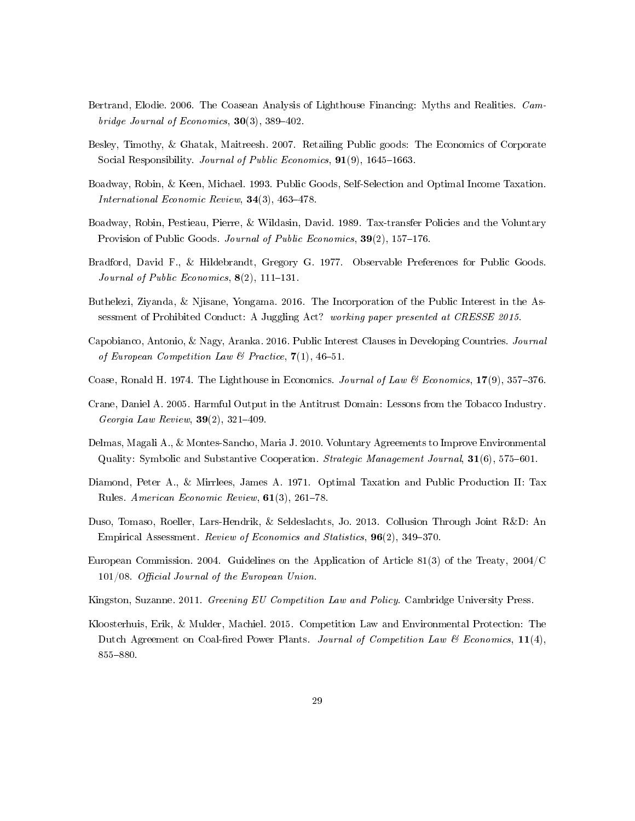- Bertrand, Elodie. 2006. The Coasean Analysis of Lighthouse Financing: Myths and Realities. Cambridge Journal of Economics,  $30(3)$ ,  $389-402$ .
- Besley, Timothy, & Ghatak, Maitreesh. 2007. Retailing Public goods: The Economics of Corporate Social Responsibility. Journal of Public Economics,  $91(9)$ , 1645-1663.
- Boadway, Robin, & Keen, Michael. 1993. Public Goods, Self-Selection and Optimal Income Taxation. International Economic Review,  $34(3)$ ,  $463-478$ .
- Boadway, Robin, Pestieau, Pierre, & Wildasin, David. 1989. Tax-transfer Policies and the Voluntary Provision of Public Goods. *Journal of Public Economics*, 39(2), 157–176.
- Bradford, David F., & Hildebrandt, Gregory G. 1977. Observable Preferences for Public Goods. Journal of Public Economics,  $8(2)$ , 111-131.
- Buthelezi, Ziyanda, & Njisane, Yongama. 2016. The Incorporation of the Public Interest in the Assessment of Prohibited Conduct: A Juggling Act? working paper presented at CRESSE 2015.
- Capobianco, Antonio, & Nagy, Aranka. 2016. Public Interest Clauses in Developing Countries. Journal of European Competition Law & Practice,  $7(1)$ , 46-51.
- Coase, Ronald H. 1974. The Lighthouse in Economics. Journal of Law & Economics,  $17(9)$ ,  $357-376$ .
- Crane, Daniel A. 2005. Harmful Output in the Antitrust Domain: Lessons from the Tobacco Industry. Georgia Law Review,  $39(2)$ ,  $321-409$ .
- Delmas, Magali A., & Montes-Sancho, Maria J. 2010. Voluntary Agreements to Improve Environmental Quality: Symbolic and Substantive Cooperation. *Strategic Management Journal*,  $31(6)$ ,  $575-601$ .
- Diamond, Peter A., & Mirrlees, James A. 1971. Optimal Taxation and Public Production II: Tax Rules. American Economic Review,  $61(3)$ ,  $261-78$ .
- Duso, Tomaso, Roeller, Lars-Hendrik, & Seldeslachts, Jo. 2013. Collusion Through Joint R&D: An Empirical Assessment. Review of Economics and Statistics, 96(2), 349–370.
- European Commission. 2004. Guidelines on the Application of Article 81(3) of the Treaty, 2004/C  $101/08$ . Official Journal of the European Union.
- Kingston, Suzanne. 2011. Greening EU Competition Law and Policy. Cambridge University Press.
- Kloosterhuis, Erik, & Mulder, Machiel. 2015. Competition Law and Environmental Protection: The Dutch Agreement on Coal-fired Power Plants. Journal of Competition Law & Economics,  $11(4)$ , 855-880.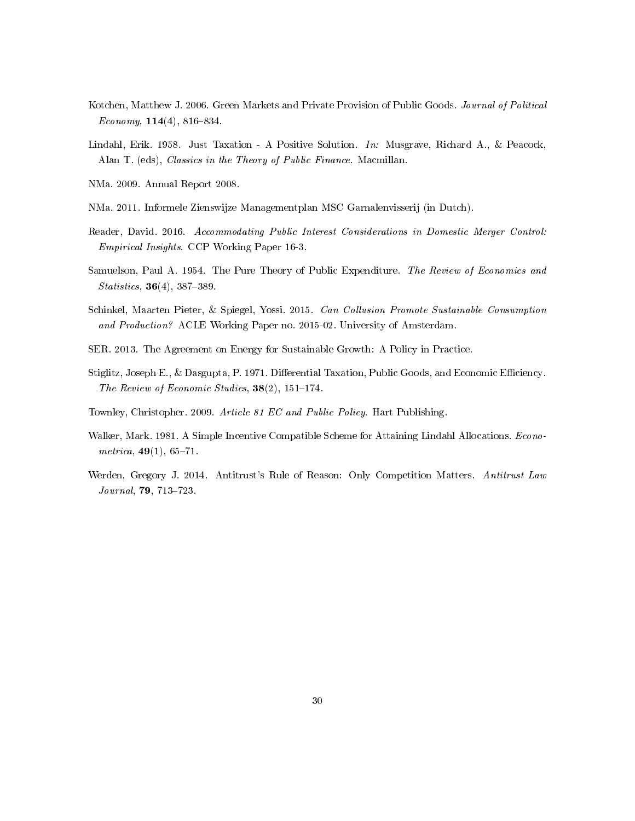- Kotchen, Matthew J. 2006. Green Markets and Private Provision of Public Goods. Journal of Political Economy,  $114(4)$ ,  $816-834$ .
- Lindahl, Erik. 1958. Just Taxation A Positive Solution. In: Musgrave, Richard A., & Peacock, Alan T. (eds), Classics in the Theory of Public Finance. Macmillan.
- NMa. 2009. Annual Report 2008.
- NMa. 2011. Informele Zienswijze Managementplan MSC Garnalenvisserij (in Dutch).
- Reader, David. 2016. Accommodating Public Interest Considerations in Domestic Merger Control: Empirical Insights. CCP Working Paper 16-3.
- Samuelson, Paul A. 1954. The Pure Theory of Public Expenditure. The Review of Economics and  $Statistics, 36(4), 387-389.$
- Schinkel, Maarten Pieter, & Spiegel, Yossi. 2015. Can Collusion Promote Sustainable Consumption and Production? ACLE Working Paper no. 2015-02. University of Amsterdam.
- SER. 2013. The Agreement on Energy for Sustainable Growth: A Policy in Practice.
- Stiglitz, Joseph E., & Dasgupta, P. 1971. Differential Taxation, Public Goods, and Economic Efficiency. The Review of Economic Studies,  $38(2)$ ,  $151-174$ .
- Townley, Christopher. 2009. Article 81 EC and Public Policy. Hart Publishing.
- Walker, Mark. 1981. A Simple Incentive Compatible Scheme for Attaining Lindahl Allocations. Econometrica,  $49(1)$ , 65-71.
- Werden, Gregory J. 2014. Antitrust's Rule of Reason: Only Competition Matters. Antitrust Law Journal, 79, 713-723.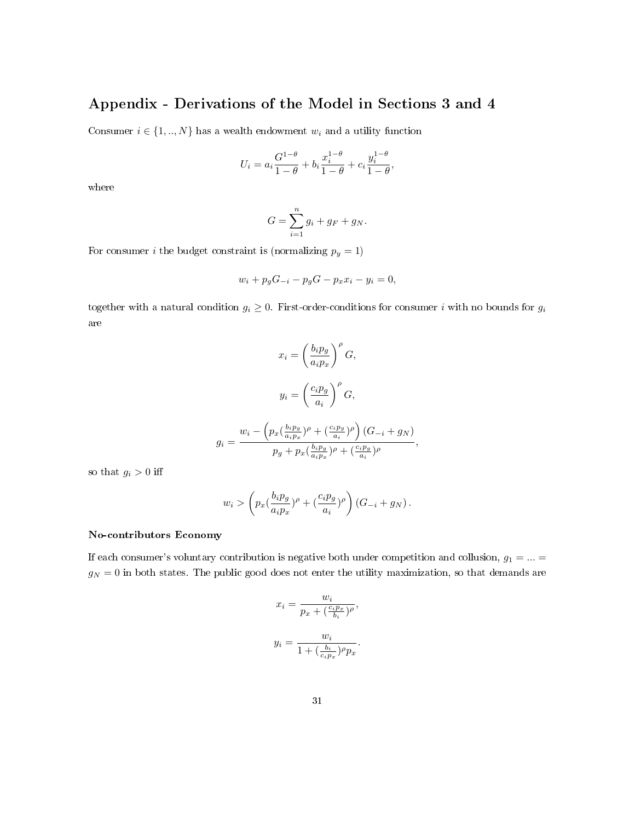## Appendix - Derivations of the Model in Sections 3 and 4

Consumer  $i \in \{1, ..., N\}$  has a wealth endowment  $w_i$  and a utility function

$$
U_i = a_i \frac{G^{1-\theta}}{1-\theta} + b_i \frac{x_i^{1-\theta}}{1-\theta} + c_i \frac{y_i^{1-\theta}}{1-\theta},
$$

where

$$
G = \sum_{i=1}^{n} g_i + g_F + g_N.
$$

For consumer *i* the budget constraint is (normalizing  $p_y = 1$ )

$$
w_i + p_g G_{-i} - p_g G - p_x x_i - y_i = 0,
$$

together with a natural condition  $g_i \geq 0$ . First-order-conditions for consumer i with no bounds for  $g_i$ are

$$
x_i = \left(\frac{b_i p_g}{a_i p_x}\right)^{\rho} G,
$$
  

$$
y_i = \left(\frac{c_i p_g}{a_i}\right)^{\rho} G,
$$
  

$$
g_i = \frac{w_i - \left(p_x(\frac{b_i p_g}{a_i p_x})^{\rho} + (\frac{c_i p_g}{a_i})^{\rho}\right)(G_{-i} + g_N)}{p_g + p_x(\frac{b_i p_g}{a_i p_x})^{\rho} + (\frac{c_i p_g}{a_i})^{\rho}},
$$

so that  $g_i > 0$  iff

$$
w_i > \left(p_x \left(\frac{b_i p_g}{a_i p_x}\right)^{\rho} + \left(\frac{c_i p_g}{a_i}\right)^{\rho}\right) \left(G_{-i} + g_N\right).
$$

#### No-contributors Economy

If each consumer's voluntary contribution is negative both under competition and collusion,  $g_1 = ... =$  $g_N = 0$  in both states. The public good does not enter the utility maximization, so that demands are

$$
x_i = \frac{w_i}{p_x + (\frac{c_i p_x}{b_i})^{\rho}},
$$
  

$$
y_i = \frac{w_i}{1 + (\frac{b_i}{c_i p_x})^{\rho} p_x}.
$$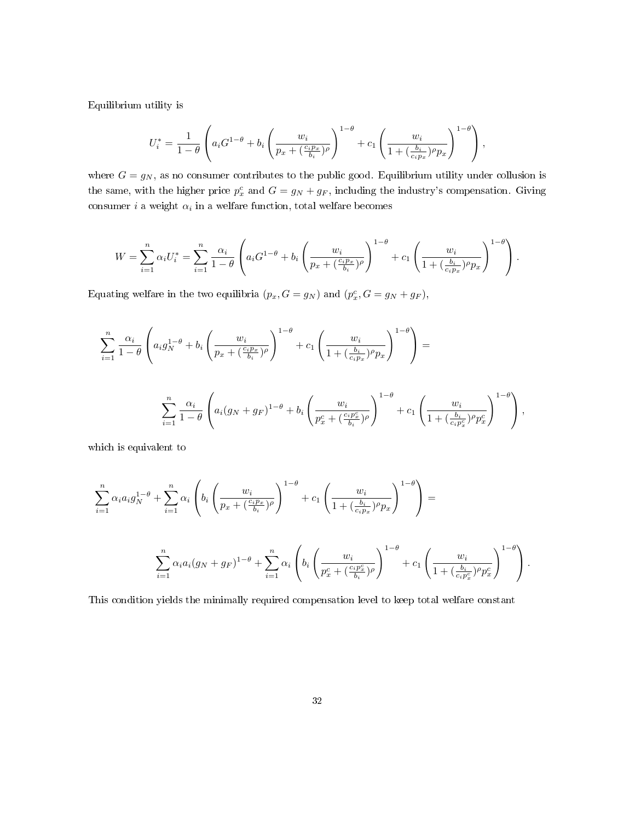Equilibrium utility is

$$
U_i^* = \frac{1}{1-\theta} \left( a_i G^{1-\theta} + b_i \left( \frac{w_i}{p_x + (\frac{c_i p_x}{b_i})\rho} \right)^{1-\theta} + c_1 \left( \frac{w_i}{1 + (\frac{b_i}{c_i p_x})\rho p_x} \right)^{1-\theta} \right),
$$

where  $G = g_N$ , as no consumer contributes to the public good. Equilibrium utility under collusion is the same, with the higher price  $p_x^c$  and  $G = g_N + g_F$ , including the industry's compensation. Giving consumer *i* a weight  $\alpha_i$  in a welfare function, total welfare becomes

$$
W = \sum_{i=1}^n \alpha_i U_i^* = \sum_{i=1}^n \frac{\alpha_i}{1-\theta} \left( a_i G^{1-\theta} + b_i \left( \frac{w_i}{p_x + (\frac{c_i p_x}{b_i})^{\rho}} \right)^{1-\theta} + c_1 \left( \frac{w_i}{1 + (\frac{b_i}{c_i p_x})^{\rho} p_x} \right)^{1-\theta} \right).
$$

Equating welfare in the two equilibria  $(p_x, G = g_N)$  and  $(p_x^c, G = g_N + g_F)$ ,

$$
\sum_{i=1}^{n} \frac{\alpha_i}{1-\theta} \left( a_i g_N^{1-\theta} + b_i \left( \frac{w_i}{p_x + (\frac{c_i p_x}{b_i})^{\rho}} \right)^{1-\theta} + c_1 \left( \frac{w_i}{1 + (\frac{b_i}{c_i p_x})^{\rho} p_x} \right)^{1-\theta} \right) =
$$
  

$$
\sum_{i=1}^{n} \frac{\alpha_i}{1-\theta} \left( a_i (g_N + g_F)^{1-\theta} + b_i \left( \frac{w_i}{p_x^c + (\frac{c_i p_x^c}{b_i})^{\rho}} \right)^{1-\theta} + c_1 \left( \frac{w_i}{1 + (\frac{b_i}{c_i p_x^c})^{\rho} p_x^c} \right)^{1-\theta} \right),
$$

which is equivalent to

$$
\sum_{i=1}^{n} \alpha_i a_i g_N^{1-\theta} + \sum_{i=1}^{n} \alpha_i \left( b_i \left( \frac{w_i}{p_x + (\frac{c_i p_x}{b_i})\rho} \right)^{1-\theta} + c_1 \left( \frac{w_i}{1 + (\frac{b_i}{c_i p_x})\rho p_x} \right)^{1-\theta} \right) =
$$
  

$$
\sum_{i=1}^{n} \alpha_i a_i (g_N + g_F)^{1-\theta} + \sum_{i=1}^{n} \alpha_i \left( b_i \left( \frac{w_i}{p_x^c + (\frac{c_i p_x^c}{b_i})\rho} \right)^{1-\theta} + c_1 \left( \frac{w_i}{1 + (\frac{b_i}{c_i p_x^c})\rho p_x^c} \right)^{1-\theta} \right).
$$

This condition yields the minimally required compensation level to keep total welfare constant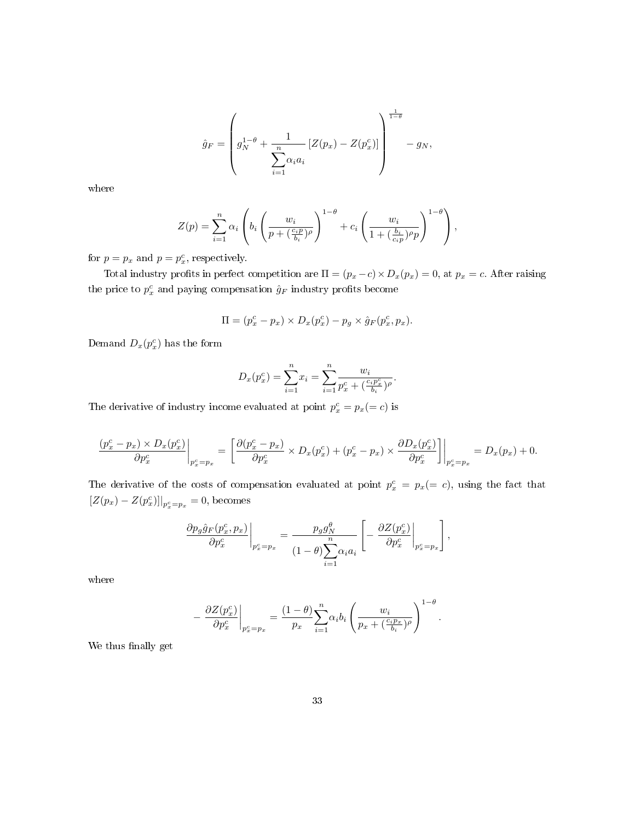$$
\hat{g}_F = \left(g_N^{1-\theta} + \frac{1}{\sum_{i=1}^n \alpha_i a_i} \left[ Z(p_x) - Z(p_x^c) \right] \right)^{\frac{1}{1-\theta}} - g_N,
$$

where

$$
Z(p) = \sum_{i=1}^{n} \alpha_i \left( b_i \left( \frac{w_i}{p + \left( \frac{c_i p}{b_i} \right)^{\rho}} \right)^{1-\theta} + c_i \left( \frac{w_i}{1 + \left( \frac{b_i}{c_i p} \right)^{\rho} p} \right)^{1-\theta} \right),
$$

for  $p = p_x$  and  $p = p_x^c$ , respectively.

Total industry profits in perfect competition are  $\Pi = (p_x - c) \times D_x(p_x) = 0$ , at  $p_x = c$ . After raising the price to  $p_x^c$  and paying compensation  $\hat{g}_F$  industry profits become

$$
\Pi = (p_x^c - p_x) \times D_x(p_x^c) - p_g \times \hat{g}_F(p_x^c, p_x).
$$

Demand  $D_x(p_x^c)$  has the form

$$
D_x(p_x^c) = \sum_{i=1}^n x_i = \sum_{i=1}^n \frac{w_i}{p_x^c + (\frac{c_i p_x^c}{b_i})^{\rho}}.
$$

The derivative of industry income evaluated at point  $p_x^c = p_x (= c)$  is

$$
\frac{(p_x^c - p_x) \times D_x(p_x^c)}{\partial p_x^c} \bigg|_{p_x^c = p_x} = \left. \left[ \frac{\partial (p_x^c - p_x)}{\partial p_x^c} \times D_x(p_x^c) + (p_x^c - p_x) \times \frac{\partial D_x(p_x^c)}{\partial p_x^c} \right] \right|_{p_x^c = p_x} = D_x(p_x) + 0.
$$

The derivative of the costs of compensation evaluated at point  $p_x^c = p_x (= c)$ , using the fact that  $[Z(p_x) - Z(p_x^c)]|_{p_x^c = p_x} = 0$ , becomes

$$
\left.\frac{\partial p_g \hat{g}_F(p_x^c, p_x)}{\partial p_x^c}\right|_{p_x^c = p_x} = \frac{p_g g_N^{\theta}}{(1-\theta)\sum_{i=1}^n \alpha_i a_i} \left[-\left.\frac{\partial Z(p_x^c)}{\partial p_x^c}\right|_{p_x^c = p_x}\right],
$$

where

$$
-\left.\frac{\partial Z(p_x^c)}{\partial p_x^c}\right|_{p_x^c=p_x}=\frac{(1-\theta)}{p_x}\sum_{i=1}^n\alpha_ib_i\left(\frac{w_i}{p_x+(\frac{c_ip_x}{b_i})^\rho}\right)^{1-\theta}.
$$

We thus finally get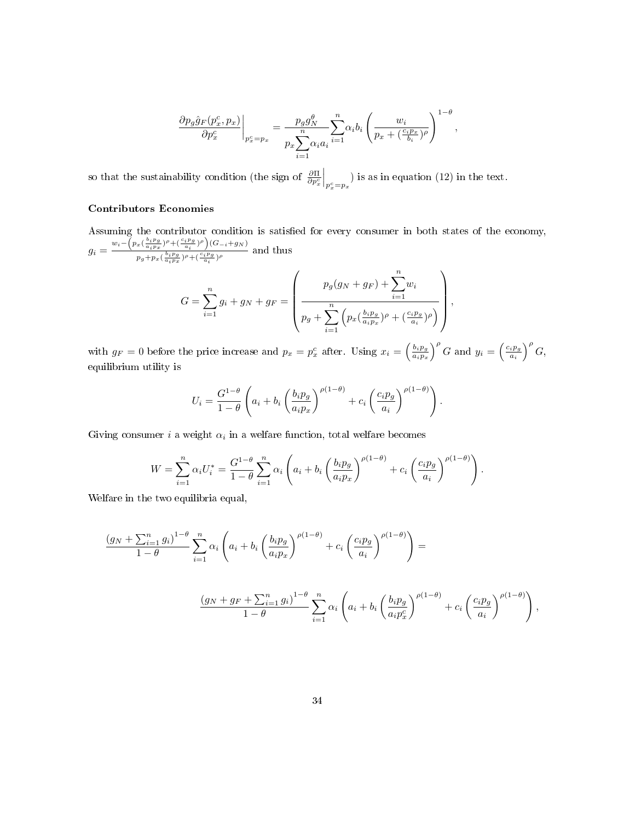$$
\frac{\partial p_g \hat{g}_F(p_x^c, p_x)}{\partial p_x^c}\bigg|_{p_x^c = p_x} = \frac{p_g g_N^{\theta}}{p_x \sum_{i=1}^n \alpha_i a_i} \sum_{i=1}^n \alpha_i b_i \left(\frac{w_i}{p_x + (\frac{c_i p_x}{b_i})^{\rho}}\right)^{1-\theta},
$$

so that the sustainability condition (the sign of  $\frac{\partial \Pi}{\partial p_x^c}$  $\Big|_{p_x^c=p_x}$  is as in equation (12) in the text.

#### Contributors Economies

Assuming the contributor condition is satisfied for every consumer in both states of the economy,  $g_i = \frac{w_i - \left(p_x(\frac{b_i p_g}{a_i p_x})^{\rho} + (\frac{c_i p_g}{a_i})^{\rho}\right)(G_{-i} + g_N)}{\int_{a_i}^b \left(\frac{b_i p_g}{a_i}\right)^{\rho} + (\frac{c_i p_g}{a_i})^{\rho}\right)(G_{-i} + g_N)}$  $\frac{a_i p_x}{p_g + p_x(\frac{b_i p_g}{a_i p_x})^{\rho} + (\frac{c_i p_g}{a_i})^{\rho}}$  and thus  $G=\sum_{n=1}^{\infty}$  $i=1$  $g_i + g_N + g_F =$  $\sqrt{ }$  $\parallel$  $p_g(g_N + g_F) + \sum_{n=1}^n$  $i=1$  $w_i$  $p_g + \sum_{n=1}^{n}$  $\left(p_x\left(\frac{b_ip_g}{a_ip_x}\right)\right)$  $\frac{b_i p_g}{a_i p_x}$ ) $\rho + \left(\frac{c_i p_g}{a_i}\right) \rho$  $\setminus$  $\Bigg\}$ 

with  $g_F = 0$  before the price increase and  $p_x = p_x^c$  after. Using  $x_i = \left(\frac{b_i p_g}{a_i p_x}\right)^c$  $\frac{b_i p_g}{a_i p_x}$  $\Big)$ <sup>p</sup> G and  $y_i = \left(\frac{c_i p_g}{a_i}\right)$  $\frac{i p_g}{a_i}\Big)^\rho G,$ equilibrium utility is

 $i=1$ 

$$
U_i = \frac{G^{1-\theta}}{1-\theta} \left( a_i + b_i \left( \frac{b_i p_g}{a_i p_x} \right)^{\rho(1-\theta)} + c_i \left( \frac{c_i p_g}{a_i} \right)^{\rho(1-\theta)} \right).
$$

Giving consumer  $i$  a weight  $\alpha_i$  in a welfare function, total welfare becomes

$$
W = \sum_{i=1}^{n} \alpha_i U_i^* = \frac{G^{1-\theta}}{1-\theta} \sum_{i=1}^{n} \alpha_i \left( a_i + b_i \left( \frac{b_i p_g}{a_i p_x} \right)^{\rho(1-\theta)} + c_i \left( \frac{c_i p_g}{a_i} \right)^{\rho(1-\theta)} \right).
$$

Welfare in the two equilibria equal,

$$
\frac{(g_N + \sum_{i=1}^n g_i)^{1-\theta}}{1-\theta} \sum_{i=1}^n \alpha_i \left( a_i + b_i \left( \frac{b_i p_g}{a_i p_x} \right)^{\rho(1-\theta)} + c_i \left( \frac{c_i p_g}{a_i} \right)^{\rho(1-\theta)} \right) =
$$
\n
$$
\frac{(g_N + g_F + \sum_{i=1}^n g_i)^{1-\theta}}{1-\theta} \sum_{i=1}^n \alpha_i \left( a_i + b_i \left( \frac{b_i p_g}{a_i p_x} \right)^{\rho(1-\theta)} + c_i \left( \frac{c_i p_g}{a_i} \right)^{\rho(1-\theta)} \right),
$$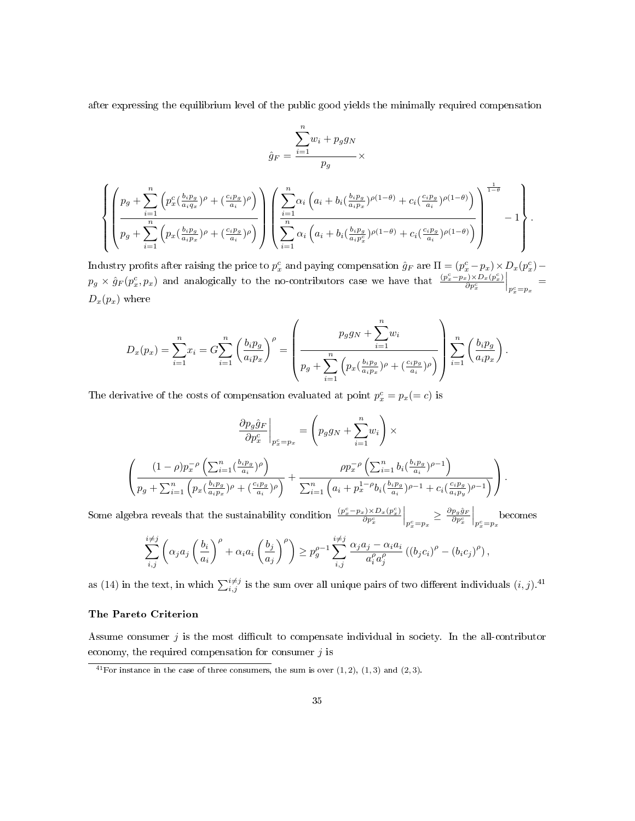after expressing the equilibrium level of the public good yields the minimally required compensation

$$
\hat{g}_F = \frac{\sum_{i=1}^n w_i + p_g g_N}{p_g} \times \left( p_x^c \left( \frac{b_i p_g}{a_i q_x} \right)^{\rho} + \left( \frac{c_i p_g}{a_i} \right)^{\rho} \right) \left( \sum_{i=1}^n \alpha_i \left( a_i + b_i \left( \frac{b_i p_g}{a_i p_x} \right)^{\rho(1-\theta)} + c_i \left( \frac{c_i p_g}{a_i} \right)^{\rho(1-\theta)} \right) \right)^{\frac{1}{1-\theta}}}{p_g + \sum_{i=1}^n \left( p_x \left( \frac{b_i p_g}{a_i p_x} \right)^{\rho} + \left( \frac{c_i p_g}{a_i} \right)^{\rho} \right)} \left( \sum_{i=1}^n \alpha_i \left( a_i + b_i \left( \frac{b_i p_g}{a_i p_x^c} \right)^{\rho(1-\theta)} + c_i \left( \frac{c_i p_g}{a_i} \right)^{\rho(1-\theta)} \right) \right)^{-1} - 1 \right).
$$

Industry profits after raising the price to  $p_x^c$  and paying compensation  $\hat{g}_F$  are  $\Pi = (p_x^c - p_x) \times D_x(p_x^c) - p_y^c$  $p_g \times \hat{g}_F(p_x^c, p_x)$  and analogically to the no-contributors case we have that  $\frac{(p_x^c - p_x) \times D_x(p_x^c)}{\partial p_x^c}$  $\overline{\partial p_x^c}$  $\Big|_{p^c_x=p_x}\ =$  $D_x(p_x)$  where

$$
D_x(p_x) = \sum_{i=1}^n x_i = G \sum_{i=1}^n \left(\frac{b_i p_g}{a_i p_x}\right)^{\rho} = \left(\frac{p_g g_N + \sum_{i=1}^n w_i}{p_g + \sum_{i=1}^n \left(p_x \left(\frac{b_i p_g}{a_i p_x}\right)^{\rho} + \left(\frac{c_i p_g}{a_i}\right)^{\rho}\right)}\right) \sum_{i=1}^n \left(\frac{b_i p_g}{a_i p_x}\right).
$$

The derivative of the costs of compensation evaluated at point  $p_x^c = p_x (= c)$  is

$$
\frac{\partial p_g \hat{g}_F}{\partial p_x^c}\Big|_{p_x^c = p_x} = \left(p_g g_N + \sum_{i=1}^n w_i\right) \times
$$
\n
$$
\left(\frac{(1-\rho)p_x^{-\rho}\left(\sum_{i=1}^n \left(\frac{b_i p_g}{a_i}\right) \rho\right)}{p_g + \sum_{i=1}^n \left(p_x \left(\frac{b_i p_g}{a_i p_x}\right) \rho + \left(\frac{c_i p_g}{a_i}\right) \rho\right)} + \frac{\rho p_x^{-\rho}\left(\sum_{i=1}^n b_i \left(\frac{b_i p_g}{a_i}\right) \rho - 1\right)}{\sum_{i=1}^n \left(a_i + p_x^{1-\rho} b_i \left(\frac{b_i p_g}{a_i}\right) \rho - 1 + c_i \left(\frac{c_i p_g}{a_i p_y}\right) \rho - 1\right)}\right).
$$
\n
$$
(s, \rho) \cup D_s(s).
$$

Some algebra reveals that the sustainability condition  $\frac{(p_x^c - p_x) \times D_x(p_x^c)}{\partial n^c}$  $\overline{\partial p_x^c}$  $\Big|_{p_x^c = p_x}$  $\geq \frac{\partial p_g \hat{g}_F}{\partial p_x^c}$  $\Big|_{p_x^c = p_x}$  becomes

$$
\sum_{i,j}^{i\neq j} \left( \alpha_j a_j \left( \frac{b_i}{a_i} \right)^{\rho} + \alpha_i a_i \left( \frac{b_j}{a_j} \right)^{\rho} \right) \geq p_g^{\rho-1} \sum_{i,j}^{i\neq j} \frac{\alpha_j a_j - \alpha_i a_i}{a_i^{\rho} a_j^{\rho}} \left( (b_j c_i)^{\rho} - (b_i c_j)^{\rho} \right),
$$

as (14) in the text, in which  $\sum_{i,j}^{i\neq j}$  is the sum over all unique pairs of two different individuals  $(i, j)$ .<sup>41</sup>

#### The Pareto Criterion

 $\sqrt{ }$  $\int$ 

 $\overline{\mathcal{L}}$ 

Assume consumer  $j$  is the most difficult to compensate individual in society. In the all-contributor economy, the required compensation for consumer  $j$  is

 $\overline{a^{41}$  For instance in the case of three consumers, the sum is over  $(1, 2)$ ,  $(1, 3)$  and  $(2, 3)$ .